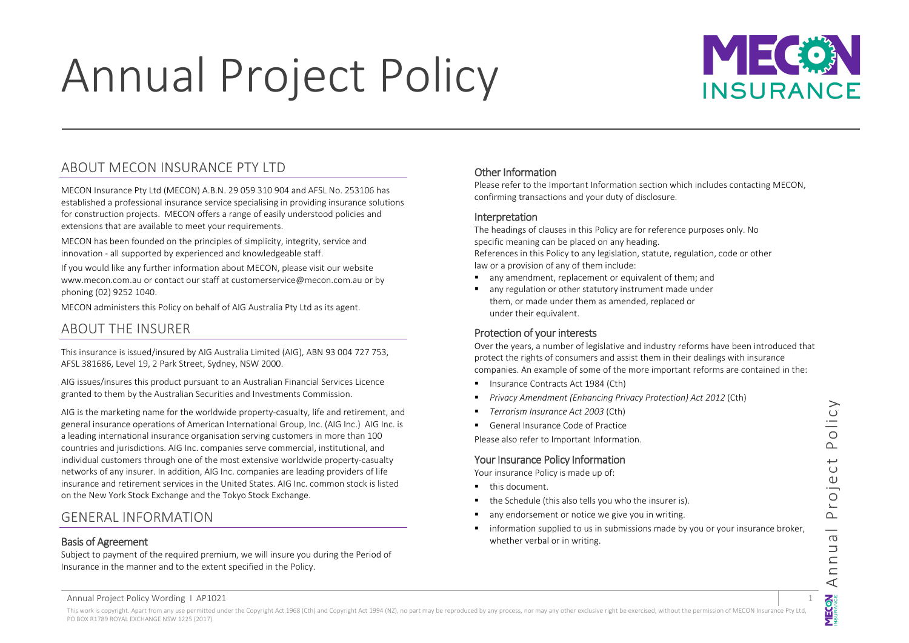# Annual Project Policy

## $MIC$ **INSURANCE**

## <span id="page-0-0"></span>ABOUT MECON INSURANCE PTY LTD

MECON Insurance Pty Ltd (MECON) A.B.N. 29 059 310 904 and AFSL No. 253106 has established a professional insurance service specialising in providing insurance solutions for construction projects. MECON offers a range of easily understood policies and extensions that are available to meet your requirements.

MECON has been founded on the principles of simplicity, integrity, service and innovation - all supported by experienced and knowledgeable staff.

If you would like any further information about MECON, please visit our website www.mecon.com.au or contact our staff at customerservice@mecon.com.au or by phoning (02) 9252 1040.

MECON administers this Policy on behalf of AIG Australia Pty Ltd as its agent.

## <span id="page-0-1"></span>ABOUT THE INSURER

This insurance is issued/insured by AIG Australia Limited (AIG), ABN 93 004 727 753, AFSL 381686, Level 19, 2 Park Street, Sydney, NSW 2000.

AIG issues/insures this product pursuant to an Australian Financial Services Licence granted to them by the Australian Securities and Investments Commission.

AIG is the marketing name for the worldwide property-casualty, life and retirement, and general insurance operations of American International Group, Inc. (AIG Inc.) AIG Inc. is a leading international insurance organisation serving customers in more than 100 countries and jurisdictions. AIG Inc. companies serve commercial, institutional, and individual customers through one of the most extensive worldwide property-casualty networks of any insurer. In addition, AIG Inc. companies are leading providers of life insurance and retirement services in the United States. AIG Inc. common stock is listed on the New York Stock Exchange and the Tokyo Stock Exchange.

## <span id="page-0-2"></span>GENERAL INFORMATION

## <span id="page-0-3"></span>Basis of Agreement

Subject to payment of the required premium, we will insure you during the Period of Insurance in the manner and to the extent specified in the Policy.

## <span id="page-0-4"></span>Other Information

Please refer to the Important Information section which includes contacting MECON, confirming transactions and your duty of disclosure.

## <span id="page-0-5"></span>Interpretation

The headings of clauses in this Policy are for reference purposes only. No specific meaning can be placed on any heading. References in this Policy to any legislation, statute, regulation, code or other

law or a provision of any of them include:

- any amendment, replacement or equivalent of them; and
- any regulation or other statutory instrument made under them, or made under them as amended, replaced or under their equivalent.

## <span id="page-0-6"></span>Protection of your interests

Over the years, a number of legislative and industry reforms have been introduced that protect the rights of consumers and assist them in their dealings with insurance companies. An example of some of the more important reforms are contained in the:

- **Insurance Contracts Act 1984 (Cth)**
- *Privacy Amendment (Enhancing Privacy Protection) Act 2012* (Cth)
- *Terrorism Insurance Act 2003* (Cth)
- General Insurance Code of Practice

Please also refer to Important Information.

## <span id="page-0-7"></span>Your Insurance Policy Information

Your insurance Policy is made up of:

- **this document**
- the Schedule (this also tells you who the insurer is).
- any endorsement or notice we give you in writing.
- **information supplied to us in submissions made by you or your insurance broker,** whether verbal or in writing.

Olicy മ  $\overline{C}$  $\mathbb U$  $\overline{1}$  $\sim$  $\overline{\phantom{0}}$  $\sigma$  $\overline{\phantom{0}}$  $\subseteq$  $\subset$  $\prec$ **MECON**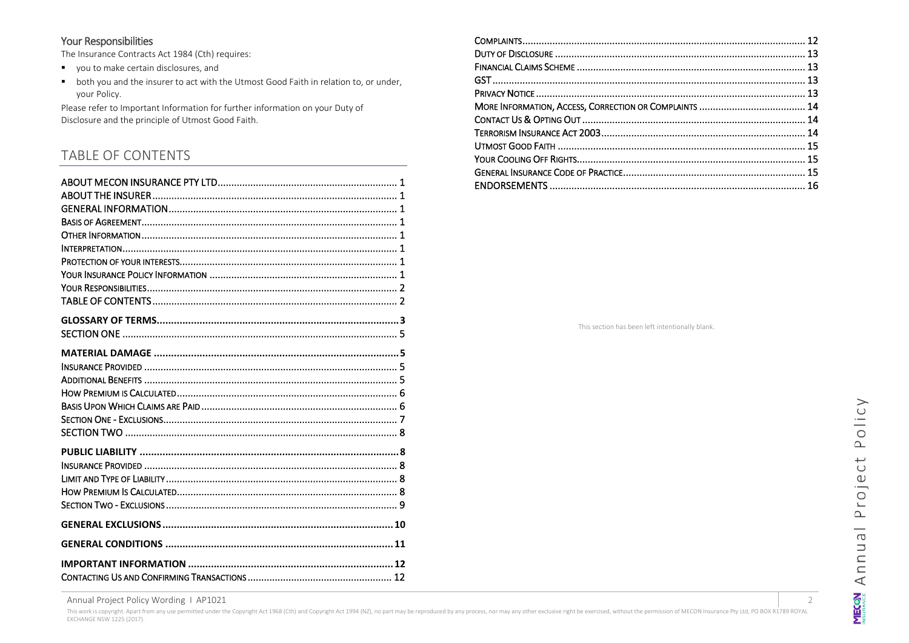#### <span id="page-1-0"></span>Your Responsibilities

The Insurance Contracts Act 1984 (Cth) requires:

- vou to make certain disclosures, and
- both you and the insurer to act with the Utmost Good Faith in relation to, or under, your Policy.

Please refer to Important Information for further information on your Duty of Disclosure and the principle of Utmost Good Faith.

## <span id="page-1-1"></span>**TABLE OF CONTENTS**

This section has been left intentionally blank.

Annual Project Policy Wording | AP1021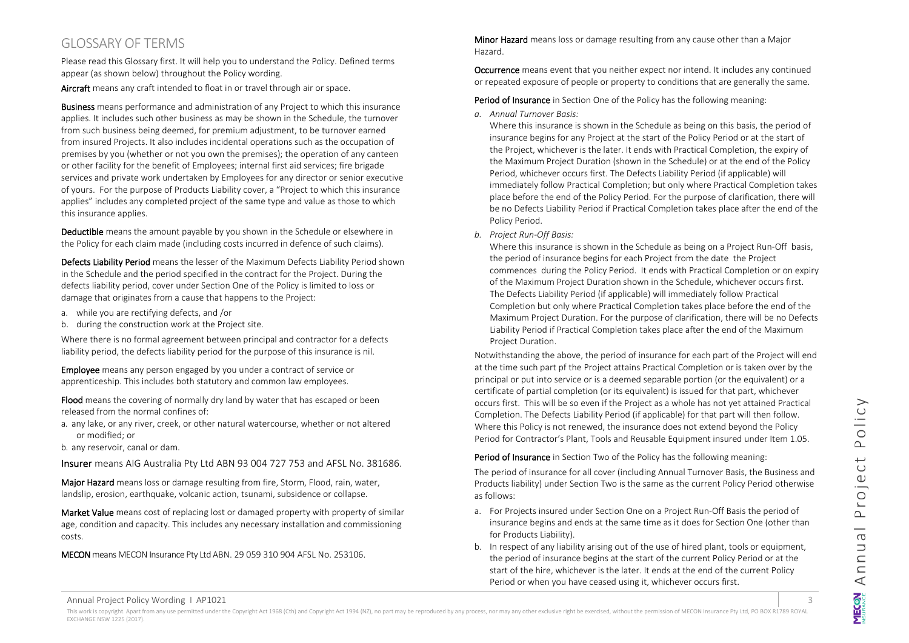## <span id="page-2-0"></span>GLOSSARY OF TERMS

Please read this Glossary first. It will help you to understand the Policy. Defined terms appear (as shown below) throughout the Policy wording.

Aircraft means any craft intended to float in or travel through air or space.

Business means performance and administration of any Project to which this insurance applies. It includes such other business as may be shown in the Schedule, the turnover from such business being deemed, for premium adjustment, to be turnover earned from insured Projects. It also includes incidental operations such as the occupation of premises by you (whether or not you own the premises); the operation of any canteen or other facility for the benefit of Employees; internal first aid services; fire brigade services and private work undertaken by Employees for any director or senior executive of yours. For the purpose of Products Liability cover, a "Project to which this insurance applies" includes any completed project of the same type and value as those to which this insurance applies.

Deductible means the amount payable by you shown in the Schedule or elsewhere in the Policy for each claim made (including costs incurred in defence of such claims).

Defects Liability Period means the lesser of the Maximum Defects Liability Period shown in the Schedule and the period specified in the contract for the Project. During the defects liability period, cover under Section One of the Policy is limited to loss or damage that originates from a cause that happens to the Project:

- a. while you are rectifying defects, and /or
- b. during the construction work at the Project site.

Where there is no formal agreement between principal and contractor for a defects liability period, the defects liability period for the purpose of this insurance is nil.

Employee means any person engaged by you under a contract of service or apprenticeship. This includes both statutory and common law employees.

Flood means the covering of normally dry land by water that has escaped or been released from the normal confines of:

a. any lake, or any river, creek, or other natural watercourse, whether or not altered or modified; or

b. any reservoir, canal or dam.

Insurer means AIG Australia Pty Ltd ABN 93 004 727 753 and AFSL No. 381686.

Major Hazard means loss or damage resulting from fire, Storm, Flood, rain, water, landslip, erosion, earthquake, volcanic action, tsunami, subsidence or collapse.

Market Value means cost of replacing lost or damaged property with property of similar age, condition and capacity. This includes any necessary installation and commissioning costs.

MECON means MECON Insurance Pty Ltd ABN. 29 059 310 904 AFSL No. 253106.

Minor Hazard means loss or damage resulting from any cause other than a Major Hazard.

Occurrence means event that you neither expect nor intend. It includes any continued or repeated exposure of people or property to conditions that are generally the same.

Period of Insurance in Section One of the Policy has the following meaning:

*a. Annual Turnover Basis:*

Where this insurance is shown in the Schedule as being on this basis, the period of insurance begins for any Project at the start of the Policy Period or at the start of the Project, whichever is the later. It ends with Practical Completion, the expiry of the Maximum Project Duration (shown in the Schedule) or at the end of the Policy Period, whichever occurs first. The Defects Liability Period (if applicable) will immediately follow Practical Completion; but only where Practical Completion takes place before the end of the Policy Period. For the purpose of clarification, there will be no Defects Liability Period if Practical Completion takes place after the end of the Policy Period.

*b. Project Run-Off Basis:*

Where this insurance is shown in the Schedule as being on a Project Run-Off basis, the period of insurance begins for each Project from the date the Project commences during the Policy Period. It ends with Practical Completion or on expiry of the Maximum Project Duration shown in the Schedule, whichever occurs first. The Defects Liability Period (if applicable) will immediately follow Practical Completion but only where Practical Completion takes place before the end of the Maximum Project Duration. For the purpose of clarification, there will be no Defects Liability Period if Practical Completion takes place after the end of the Maximum Project Duration.

Notwithstanding the above, the period of insurance for each part of the Project will end at the time such part pf the Project attains Practical Completion or is taken over by the principal or put into service or is a deemed separable portion (or the equivalent) or a certificate of partial completion (or its equivalent) is issued for that part, whichever occurs first. This will be so even if the Project as a whole has not yet attained Practical Completion. The Defects Liability Period (if applicable) for that part will then follow. Where this Policy is not renewed, the insurance does not extend beyond the Policy Period for Contractor's Plant, Tools and Reusable Equipment insured under Item 1.05.

Period of Insurance in Section Two of the Policy has the following meaning:

The period of insurance for all cover (including Annual Turnover Basis, the Business and Products liability) under Section Two is the same as the current Policy Period otherwise as follows:

- a. For Projects insured under Section One on a Project Run-Off Basis the period of insurance begins and ends at the same time as it does for Section One (other than for Products Liability).
- b. In respect of any liability arising out of the use of hired plant, tools or equipment, the period of insurance begins at the start of the current Policy Period or at the start of the hire, whichever is the later. It ends at the end of the current Policy Period or when you have ceased using it, whichever occurs first.

Annual Project Policy Wording I AP1021 3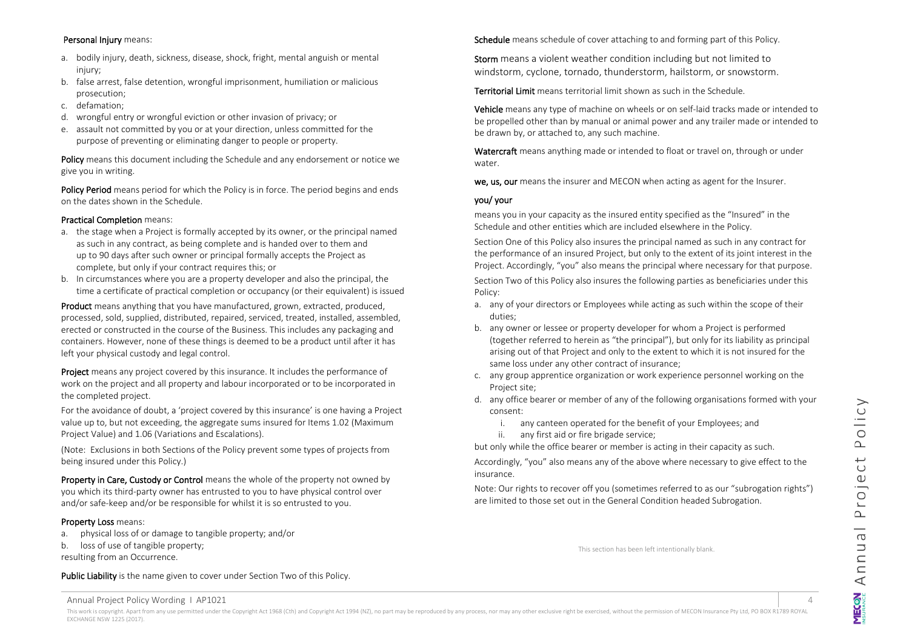#### Personal Injury means:

- a. bodily injury, death, sickness, disease, shock, fright, mental anguish or mental injury:
- b. false arrest, false detention, wrongful imprisonment, humiliation or malicious prosecution;
- c. defamation;
- d. wrongful entry or wrongful eviction or other invasion of privacy; or
- e. assault not committed by you or at your direction, unless committed for the purpose of preventing or eliminating danger to people or property.

Policy means this document including the Schedule and any endorsement or notice we give you in writing.

Policy Period means period for which the Policy is in force. The period begins and ends on the dates shown in the Schedule.

#### Practical Completion means:

- a. the stage when a Project is formally accepted by its owner, or the principal named as such in any contract, as being complete and is handed over to them and up to 90 days after such owner or principal formally accepts the Project as complete, but only if your contract requires this; or
- b. In circumstances where you are a property developer and also the principal, the time a certificate of practical completion or occupancy (or their equivalent) is issued

Product means anything that you have manufactured, grown, extracted, produced, processed, sold, supplied, distributed, repaired, serviced, treated, installed, assembled, erected or constructed in the course of the Business. This includes any packaging and containers. However, none of these things is deemed to be a product until after it has left your physical custody and legal control.

Proiect means any project covered by this insurance. It includes the performance of work on the project and all property and labour incorporated or to be incorporated in the completed project.

For the avoidance of doubt, a 'project covered by this insurance' is one having a Project value up to, but not exceeding, the aggregate sums insured for Items 1.02 (Maximum Project Value) and 1.06 (Variations and Escalations).

(Note: Exclusions in both Sections of the Policy prevent some types of projects from being insured under this Policy.)

Property in Care, Custody or Control means the whole of the property not owned by you which its third-party owner has entrusted to you to have physical control over and/or safe-keep and/or be responsible for whilst it is so entrusted to you.

#### Property Loss means:

a. physical loss of or damage to tangible property; and/or

b. loss of use of tangible property; resulting from an Occurrence.

Public Liability is the name given to cover under Section Two of this Policy.

Schedule means schedule of cover attaching to and forming part of this Policy.

Storm means a violent weather condition including but not limited to windstorm, cyclone, tornado, thunderstorm, hailstorm, or snowstorm.

Territorial Limit means territorial limit shown as such in the Schedule.

Vehicle means any type of machine on wheels or on self-laid tracks made or intended to be propelled other than by manual or animal power and any trailer made or intended to be drawn by, or attached to, any such machine.

Watercraft means anything made or intended to float or travel on, through or under water.

we, us, our means the insurer and MECON when acting as agent for the Insurer.

#### you/ your

means you in your capacity as the insured entity specified as the "Insured" in the Schedule and other entities which are included elsewhere in the Policy.

Section One of this Policy also insures the principal named as such in any contract for the performance of an insured Project, but only to the extent of its joint interest in the Project. Accordingly, "you" also means the principal where necessary for that purpose.

Section Two of this Policy also insures the following parties as beneficiaries under this Policy:

- a. any of your directors or Employees while acting as such within the scope of their duties;
- b. any owner or lessee or property developer for whom a Project is performed (together referred to herein as "the principal"), but only for its liability as principal arising out of that Project and only to the extent to which it is not insured for the same loss under any other contract of insurance;
- c. any group apprentice organization or work experience personnel working on the Project site;
- d. any office bearer or member of any of the following organisations formed with your consent:
	- i. any canteen operated for the benefit of your Employees; and
	- ii. any first aid or fire brigade service;

but only while the office bearer or member is acting in their capacity as such.

Accordingly, "you" also means any of the above where necessary to give effect to the insurance.

Note: Our rights to recover off you (sometimes referred to as our "subrogation rights") are limited to those set out in the General Condition headed Subrogation.

This section has been left intentionally blank.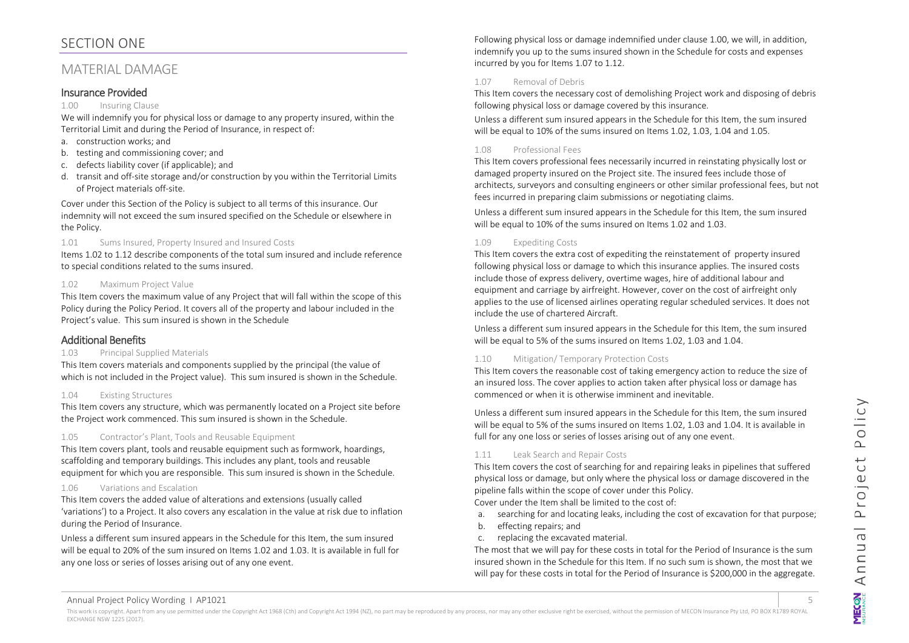## <span id="page-4-0"></span>SECTION ONE

## <span id="page-4-1"></span>MATERIAL DAMAGE

#### <span id="page-4-2"></span>Insurance Provided

#### 1.00 Insuring Clause

We will indemnify you for physical loss or damage to any property insured, within the Territorial Limit and during the Period of Insurance, in respect of:

- a. construction works; and
- b. testing and commissioning cover; and
- c. defects liability cover (if applicable); and
- d. transit and off-site storage and/or construction by you within the Territorial Limits of Project materials off-site.

Cover under this Section of the Policy is subject to all terms of this insurance. Our indemnity will not exceed the sum insured specified on the Schedule or elsewhere in the Policy.

#### 1.01 Sums Insured, Property Insured and Insured Costs

Items 1.02 to 1.12 describe components of the total sum insured and include reference to special conditions related to the sums insured.

#### 1.02 Maximum Project Value

This Item covers the maximum value of any Project that will fall within the scope of this Policy during the Policy Period. It covers all of the property and labour included in the Project's value. This sum insured is shown in the Schedule

## <span id="page-4-3"></span>Additional Benefits

#### 1.03 Principal Supplied Materials

This Item covers materials and components supplied by the principal (the value of which is not included in the Project value). This sum insured is shown in the Schedule.

#### 1.04 Existing Structures

This Item covers any structure, which was permanently located on a Project site before the Project work commenced. This sum insured is shown in the Schedule.

#### 1.05 Contractor's Plant, Tools and Reusable Equipment

This Item covers plant, tools and reusable equipment such as formwork, hoardings, scaffolding and temporary buildings. This includes any plant, tools and reusable equipment for which you are responsible. This sum insured is shown in the Schedule.

#### 1.06 Variations and Escalation

This Item covers the added value of alterations and extensions (usually called 'variations') to a Project. It also covers any escalation in the value at risk due to inflation during the Period of Insurance.

Unless a different sum insured appears in the Schedule for this Item, the sum insured will be equal to 20% of the sum insured on Items 1.02 and 1.03. It is available in full for any one loss or series of losses arising out of any one event.

Following physical loss or damage indemnified under clause 1.00, we will, in addition, indemnify you up to the sums insured shown in the Schedule for costs and expenses incurred by you for Items 1.07 to 1.12.

#### 1.07 Removal of Debris

This Item covers the necessary cost of demolishing Project work and disposing of debris following physical loss or damage covered by this insurance.

Unless a different sum insured appears in the Schedule for this Item, the sum insured will be equal to 10% of the sums insured on Items 1.02, 1.03, 1.04 and 1.05.

#### 1.08 Professional Fees

This Item covers professional fees necessarily incurred in reinstating physically lost or damaged property insured on the Project site. The insured fees include those of architects, surveyors and consulting engineers or other similar professional fees, but not fees incurred in preparing claim submissions or negotiating claims.

Unless a different sum insured appears in the Schedule for this Item, the sum insured will be equal to 10% of the sums insured on Items 1.02 and 1.03.

#### 1.09 Expediting Costs

This Item covers the extra cost of expediting the reinstatement of property insured following physical loss or damage to which this insurance applies. The insured costs include those of express delivery, overtime wages, hire of additional labour and equipment and carriage by airfreight. However, cover on the cost of airfreight only applies to the use of licensed airlines operating regular scheduled services. It does not include the use of chartered Aircraft.

Unless a different sum insured appears in the Schedule for this Item, the sum insured will be equal to 5% of the sums insured on Items 1.02, 1.03 and 1.04.

#### 1.10 Mitigation/ Temporary Protection Costs

This Item covers the reasonable cost of taking emergency action to reduce the size of an insured loss. The cover applies to action taken after physical loss or damage has commenced or when it is otherwise imminent and inevitable.

Unless a different sum insured appears in the Schedule for this Item, the sum insured will be equal to 5% of the sums insured on Items 1.02, 1.03 and 1.04. It is available in full for any one loss or series of losses arising out of any one event.

#### 1.11 Leak Search and Repair Costs

This Item covers the cost of searching for and repairing leaks in pipelines that suffered physical loss or damage, but only where the physical loss or damage discovered in the pipeline falls within the scope of cover under this Policy.

Cover under the Item shall be limited to the cost of:

- a. searching for and locating leaks, including the cost of excavation for that purpose;
- b. effecting repairs; and
- c. replacing the excavated material.

The most that we will pay for these costs in total for the Period of Insurance is the sum insured shown in the Schedule for this Item. If no such sum is shown, the most that we will pay for these costs in total for the Period of Insurance is \$200,000 in the aggregate.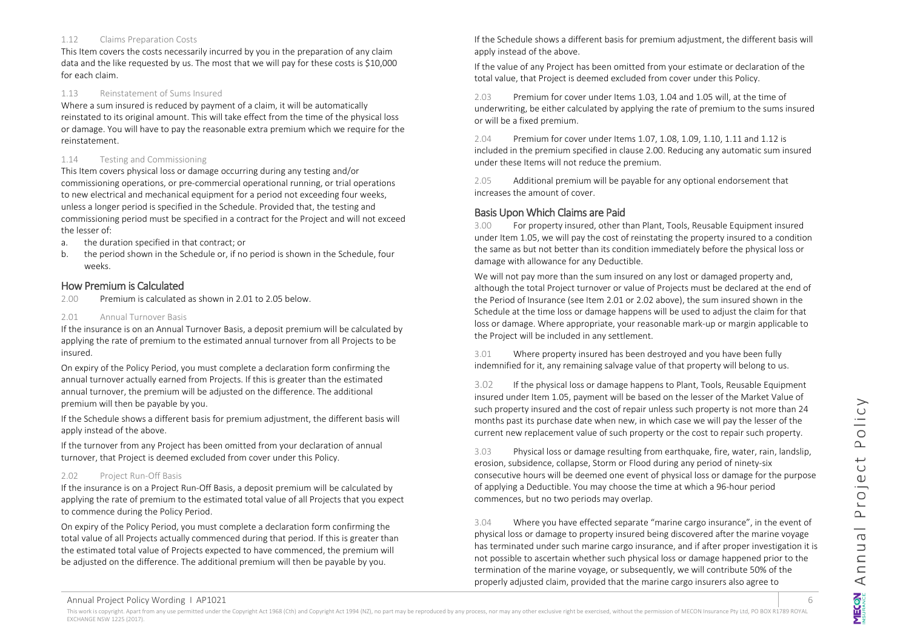#### 1.12 Claims Preparation Costs

This Item covers the costs necessarily incurred by you in the preparation of any claim data and the like requested by us. The most that we will pay for these costs is \$10,000 for each claim.

#### 1.13 Reinstatement of Sums Insured

Where a sum insured is reduced by payment of a claim, it will be automatically reinstated to its original amount. This will take effect from the time of the physical loss or damage. You will have to pay the reasonable extra premium which we require for the reinstatement.

#### 1.14 Testing and Commissioning

This Item covers physical loss or damage occurring during any testing and/or commissioning operations, or pre-commercial operational running, or trial operations to new electrical and mechanical equipment for a period not exceeding four weeks, unless a longer period is specified in the Schedule. Provided that, the testing and commissioning period must be specified in a contract for the Project and will not exceed the lesser of:

- a. the duration specified in that contract; or
- b. the period shown in the Schedule or, if no period is shown in the Schedule, four weeks.

#### <span id="page-5-0"></span>How Premium is Calculated

2.00 Premium is calculated as shown in 2.01 to 2.05 below.

#### 2.01 Annual Turnover Basis

If the insurance is on an Annual Turnover Basis, a deposit premium will be calculated by applying the rate of premium to the estimated annual turnover from all Projects to be insured.

On expiry of the Policy Period, you must complete a declaration form confirming the annual turnover actually earned from Projects. If this is greater than the estimated annual turnover, the premium will be adjusted on the difference. The additional premium will then be payable by you.

If the Schedule shows a different basis for premium adjustment, the different basis will apply instead of the above.

If the turnover from any Project has been omitted from your declaration of annual turnover, that Project is deemed excluded from cover under this Policy.

#### 2.02 Project Run-Off Basis

If the insurance is on a Project Run-Off Basis, a deposit premium will be calculated by applying the rate of premium to the estimated total value of all Projects that you expect to commence during the Policy Period.

On expiry of the Policy Period, you must complete a declaration form confirming the total value of all Projects actually commenced during that period. If this is greater than the estimated total value of Projects expected to have commenced, the premium will be adjusted on the difference. The additional premium will then be payable by you.

If the Schedule shows a different basis for premium adjustment, the different basis will apply instead of the above.

If the value of any Project has been omitted from your estimate or declaration of the total value, that Project is deemed excluded from cover under this Policy.

2.03 Premium for cover under Items 1.03, 1.04 and 1.05 will, at the time of underwriting, be either calculated by applying the rate of premium to the sums insured or will be a fixed premium.

2.04 Premium for cover under Items 1.07, 1.08, 1.09, 1.10, 1.11 and 1.12 is included in the premium specified in clause 2.00. Reducing any automatic sum insured under these Items will not reduce the premium.

2.05 Additional premium will be payable for any optional endorsement that increases the amount of cover.

## <span id="page-5-1"></span>Basis Upon Which Claims are Paid

3.00 For property insured, other than Plant, Tools, Reusable Equipment insured under Item 1.05, we will pay the cost of reinstating the property insured to a condition the same as but not better than its condition immediately before the physical loss or damage with allowance for any Deductible.

We will not pay more than the sum insured on any lost or damaged property and, although the total Project turnover or value of Projects must be declared at the end of the Period of Insurance (see Item 2.01 or 2.02 above), the sum insured shown in the Schedule at the time loss or damage happens will be used to adjust the claim for that loss or damage. Where appropriate, your reasonable mark-up or margin applicable to the Project will be included in any settlement.

3.01 Where property insured has been destroyed and you have been fully indemnified for it, any remaining salvage value of that property will belong to us.

3.02 If the physical loss or damage happens to Plant, Tools, Reusable Equipment insured under Item 1.05, payment will be based on the lesser of the Market Value of such property insured and the cost of repair unless such property is not more than 24 months past its purchase date when new, in which case we will pay the lesser of the current new replacement value of such property or the cost to repair such property.

3.03 Physical loss or damage resulting from earthquake, fire, water, rain, landslip, erosion, subsidence, collapse, Storm or Flood during any period of ninety-six consecutive hours will be deemed one event of physical loss or damage for the purpose of applying a Deductible. You may choose the time at which a 96-hour period commences, but no two periods may overlap.

3.04 Where you have effected separate "marine cargo insurance", in the event of physical loss or damage to property insured being discovered after the marine voyage has terminated under such marine cargo insurance, and if after proper investigation it is not possible to ascertain whether such physical loss or damage happened prior to the termination of the marine voyage, or subsequently, we will contribute 50% of the properly adjusted claim, provided that the marine cargo insurers also agree to

Annual Project Policy Wording I AP1021 6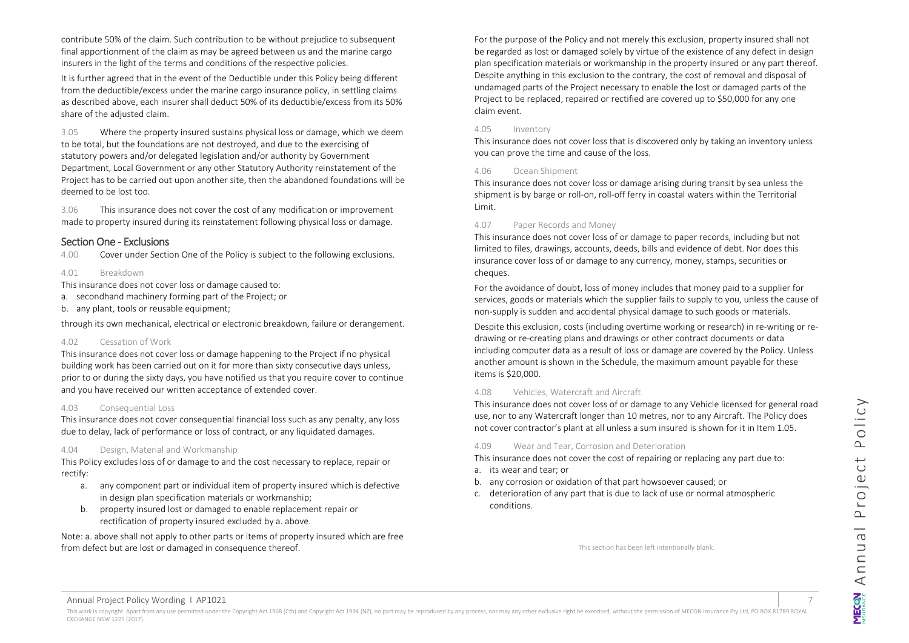contribute 50% of the claim. Such contribution to be without prejudice to subsequent final apportionment of the claim as may be agreed between us and the marine cargo insurers in the light of the terms and conditions of the respective policies.

It is further agreed that in the event of the Deductible under this Policy being different from the deductible/excess under the marine cargo insurance policy, in settling claims as described above, each insurer shall deduct 50% of its deductible/excess from its 50% share of the adjusted claim.

3.05 Where the property insured sustains physical loss or damage, which we deem to be total, but the foundations are not destroyed, and due to the exercising of statutory powers and/or delegated legislation and/or authority by Government Department, Local Government or any other Statutory Authority reinstatement of the Project has to be carried out upon another site, then the abandoned foundations will be deemed to be lost too.

3.06 This insurance does not cover the cost of any modification or improvement made to property insured during its reinstatement following physical loss or damage.

#### <span id="page-6-0"></span>Section One - Exclusions

4.00 Cover under Section One of the Policy is subject to the following exclusions.

#### 4.01 Breakdown

This insurance does not cover loss or damage caused to:

- a. secondhand machinery forming part of the Project; or
- b. any plant, tools or reusable equipment;

through its own mechanical, electrical or electronic breakdown, failure or derangement.

#### 4.02 Cessation of Work

This insurance does not cover loss or damage happening to the Project if no physical building work has been carried out on it for more than sixty consecutive days unless, prior to or during the sixty days, you have notified us that you require cover to continue and you have received our written acceptance of extended cover.

#### 4.03 Consequential Loss

This insurance does not cover consequential financial loss such as any penalty, any loss due to delay, lack of performance or loss of contract, or any liquidated damages.

#### 4.04 Design, Material and Workmanship

This Policy excludes loss of or damage to and the cost necessary to replace, repair or rectify:

- a. any component part or individual item of property insured which is defective in design plan specification materials or workmanship;
- b. property insured lost or damaged to enable replacement repair or rectification of property insured excluded by a. above.

Note: a. above shall not apply to other parts or items of property insured which are free from defect but are lost or damaged in consequence thereof.

For the purpose of the Policy and not merely this exclusion, property insured shall not be regarded as lost or damaged solely by virtue of the existence of any defect in design plan specification materials or workmanship in the property insured or any part thereof. Despite anything in this exclusion to the contrary, the cost of removal and disposal of undamaged parts of the Project necessary to enable the lost or damaged parts of the Project to be replaced, repaired or rectified are covered up to \$50,000 for any one claim event.

#### 4.05 Inventory

This insurance does not cover loss that is discovered only by taking an inventory unless you can prove the time and cause of the loss.

#### 4.06 Ocean Shipment

This insurance does not cover loss or damage arising during transit by sea unless the shipment is by barge or roll-on, roll-off ferry in coastal waters within the Territorial Limit.

#### 4.07 Paper Records and Money

This insurance does not cover loss of or damage to paper records, including but not limited to files, drawings, accounts, deeds, bills and evidence of debt. Nor does this insurance cover loss of or damage to any currency, money, stamps, securities or cheques.

For the avoidance of doubt, loss of money includes that money paid to a supplier for services, goods or materials which the supplier fails to supply to you, unless the cause of non-supply is sudden and accidental physical damage to such goods or materials.

Despite this exclusion, costs (including overtime working or research) in re-writing or redrawing or re-creating plans and drawings or other contract documents or data including computer data as a result of loss or damage are covered by the Policy. Unless another amount is shown in the Schedule, the maximum amount payable for these items is \$20,000.

#### 4.08 Vehicles, Watercraft and Aircraft

This insurance does not cover loss of or damage to any Vehicle licensed for general road use, nor to any Watercraft longer than 10 metres, nor to any Aircraft. The Policy does not cover contractor's plant at all unless a sum insured is shown for it in Item 1.05.

#### 4.09 Wear and Tear, Corrosion and Deterioration

This insurance does not cover the cost of repairing or replacing any part due to:

- a. its wear and tear; or
- b. any corrosion or oxidation of that part howsoever caused; or
- c. deterioration of any part that is due to lack of use or normal atmospheric conditions.

This section has been left intentionally blank.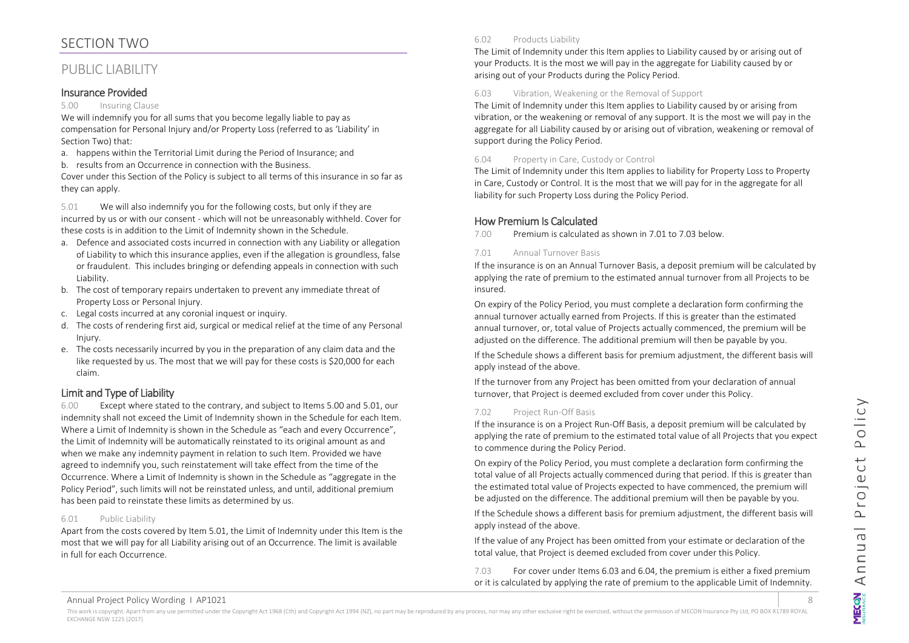## <span id="page-7-0"></span>SECTION TWO

## <span id="page-7-1"></span>PUBLIC LIABILITY

#### <span id="page-7-2"></span>Insurance Provided

#### 5.00 Insuring Clause

We will indemnify you for all sums that you become legally liable to pay as compensation for Personal Injury and/or Property Loss (referred to as 'Liability' in Section Two) that:

- a. happens within the Territorial Limit during the Period of Insurance; and
- b. results from an Occurrence in connection with the Business.

Cover under this Section of the Policy is subject to all terms of this insurance in so far as they can apply.

5.01 We will also indemnify you for the following costs, but only if they are incurred by us or with our consent - which will not be unreasonably withheld. Cover for these costs is in addition to the Limit of Indemnity shown in the Schedule.

- a. Defence and associated costs incurred in connection with any Liability or allegation of Liability to which this insurance applies, even if the allegation is groundless, false or fraudulent. This includes bringing or defending appeals in connection with such Liability.
- b. The cost of temporary repairs undertaken to prevent any immediate threat of Property Loss or Personal Injury.
- c. Legal costs incurred at any coronial inquest or inquiry.
- d. The costs of rendering first aid, surgical or medical relief at the time of any Personal Injury.
- e. The costs necessarily incurred by you in the preparation of any claim data and the like requested by us. The most that we will pay for these costs is \$20,000 for each claim.

## <span id="page-7-3"></span>Limit and Type of Liability

6.00 Except where stated to the contrary, and subject to Items 5.00 and 5.01, our indemnity shall not exceed the Limit of Indemnity shown in the Schedule for each Item. Where a Limit of Indemnity is shown in the Schedule as "each and every Occurrence", the Limit of Indemnity will be automatically reinstated to its original amount as and when we make any indemnity payment in relation to such Item. Provided we have agreed to indemnify you, such reinstatement will take effect from the time of the Occurrence. Where a Limit of Indemnity is shown in the Schedule as "aggregate in the Policy Period", such limits will not be reinstated unless, and until, additional premium has been paid to reinstate these limits as determined by us.

#### 6.01 Public Liability

Apart from the costs covered by Item 5.01, the Limit of Indemnity under this Item is the most that we will pay for all Liability arising out of an Occurrence. The limit is available in full for each Occurrence.

#### 6.02 Products Liability

The Limit of Indemnity under this Item applies to Liability caused by or arising out of your Products. It is the most we will pay in the aggregate for Liability caused by or arising out of your Products during the Policy Period.

#### 6.03 Vibration, Weakening or the Removal of Support

The Limit of Indemnity under this Item applies to Liability caused by or arising from vibration, or the weakening or removal of any support. It is the most we will pay in the aggregate for all Liability caused by or arising out of vibration, weakening or removal of support during the Policy Period.

#### 6.04 Property in Care, Custody or Control

The Limit of Indemnity under this Item applies to liability for Property Loss to Property in Care, Custody or Control. It is the most that we will pay for in the aggregate for all liability for such Property Loss during the Policy Period.

## <span id="page-7-4"></span>How Premium Is Calculated

7.00 Premium is calculated as shown in 7.01 to 7.03 below.

#### 7.01 Annual Turnover Basis

If the insurance is on an Annual Turnover Basis, a deposit premium will be calculated by applying the rate of premium to the estimated annual turnover from all Projects to be insured.

On expiry of the Policy Period, you must complete a declaration form confirming the annual turnover actually earned from Projects. If this is greater than the estimated annual turnover, or, total value of Projects actually commenced, the premium will be adjusted on the difference. The additional premium will then be payable by you.

If the Schedule shows a different basis for premium adjustment, the different basis will apply instead of the above.

If the turnover from any Project has been omitted from your declaration of annual turnover, that Project is deemed excluded from cover under this Policy.

#### 7.02 Project Run-Off Basis

If the insurance is on a Project Run-Off Basis, a deposit premium will be calculated by applying the rate of premium to the estimated total value of all Projects that you expect to commence during the Policy Period.

On expiry of the Policy Period, you must complete a declaration form confirming the total value of all Projects actually commenced during that period. If this is greater than the estimated total value of Projects expected to have commenced, the premium will be adjusted on the difference. The additional premium will then be payable by you.

If the Schedule shows a different basis for premium adjustment, the different basis will apply instead of the above.

If the value of any Project has been omitted from your estimate or declaration of the total value, that Project is deemed excluded from cover under this Policy.

7.03 For cover under Items 6.03 and 6.04, the premium is either a fixed premium or it is calculated by applying the rate of premium to the applicable Limit of Indemnity.

Annual Project Policy Wording I AP1021 8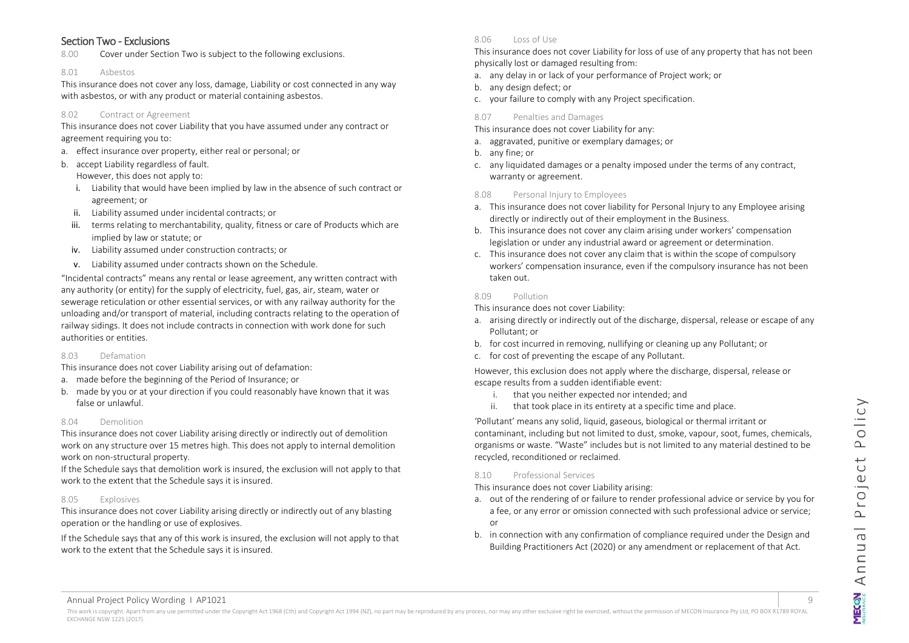#### <span id="page-8-0"></span>Section Two - Exclusions

8.00 Cover under Section Two is subject to the following exclusions.

#### 8.01 Asbestos

This insurance does not cover any loss, damage, Liability or cost connected in any way with asbestos, or with any product or material containing asbestos.

#### 8.02 Contract or Agreement

This insurance does not cover Liability that you have assumed under any contract or agreement requiring you to:

- a. effect insurance over property, either real or personal; or
- b. accept Liability regardless of fault.

However, this does not apply to:

- i. Liability that would have been implied by law in the absence of such contract or agreement; or
- ii. Liability assumed under incidental contracts; or
- iii. terms relating to merchantability, quality, fitness or care of Products which are implied by law or statute; or
- iv. Liability assumed under construction contracts; or
- v. Liability assumed under contracts shown on the Schedule.

"Incidental contracts" means any rental or lease agreement, any written contract with any authority (or entity) for the supply of electricity, fuel, gas, air, steam, water or sewerage reticulation or other essential services, or with any railway authority for the unloading and/or transport of material, including contracts relating to the operation of railway sidings. It does not include contracts in connection with work done for such authorities or entities.

#### 8.03 Defamation

This insurance does not cover Liability arising out of defamation:

- a. made before the beginning of the Period of Insurance; or
- b. made by you or at your direction if you could reasonably have known that it was false or unlawful.

#### 8.04 Demolition

This insurance does not cover Liability arising directly or indirectly out of demolition work on any structure over 15 metres high. This does not apply to internal demolition work on non-structural property.

If the Schedule says that demolition work is insured, the exclusion will not apply to that work to the extent that the Schedule says it is insured.

#### 8.05 Explosives

This insurance does not cover Liability arising directly or indirectly out of any blasting operation or the handling or use of explosives.

If the Schedule says that any of this work is insured, the exclusion will not apply to that work to the extent that the Schedule says it is insured.

#### 8.06 Loss of Use

This insurance does not cover Liability for loss of use of any property that has not been physically lost or damaged resulting from:

- a. any delay in or lack of your performance of Project work; or
- b. any design defect; or
- c. your failure to comply with any Project specification.
- 8.07 Penalties and Damages

This insurance does not cover Liability for any:

- a. aggravated, punitive or exemplary damages; or
- b. any fine; or
- c. any liquidated damages or a penalty imposed under the terms of any contract, warranty or agreement.

#### 8.08 Personal Injury to Employees

- a. This insurance does not cover liability for Personal Injury to any Employee arising directly or indirectly out of their employment in the Business.
- b. This insurance does not cover any claim arising under workers' compensation legislation or under any industrial award or agreement or determination.
- c. This insurance does not cover any claim that is within the scope of compulsory workers' compensation insurance, even if the compulsory insurance has not been taken out.

#### 8.09 Pollution

This insurance does not cover Liability:

- a. arising directly or indirectly out of the discharge, dispersal, release or escape of any Pollutant; or
- b. for cost incurred in removing, nullifying or cleaning up any Pollutant; or
- c. for cost of preventing the escape of any Pollutant.

However, this exclusion does not apply where the discharge, dispersal, release or escape results from a sudden identifiable event:

- i. that you neither expected nor intended; and
- ii. that took place in its entirety at a specific time and place.

'Pollutant' means any solid, liquid, gaseous, biological or thermal irritant or contaminant, including but not limited to dust, smoke, vapour, soot, fumes, chemicals, organisms or waste. "Waste" includes but is not limited to any material destined to be recycled, reconditioned or reclaimed.

#### 8.10 Professional Services

This insurance does not cover Liability arising:

- a. out of the rendering of or failure to render professional advice or service by you for a fee, or any error or omission connected with such professional advice or service; or
- b. in connection with any confirmation of compliance required under the Design and Building Practitioners Act (2020) or any amendment or replacement of that Act.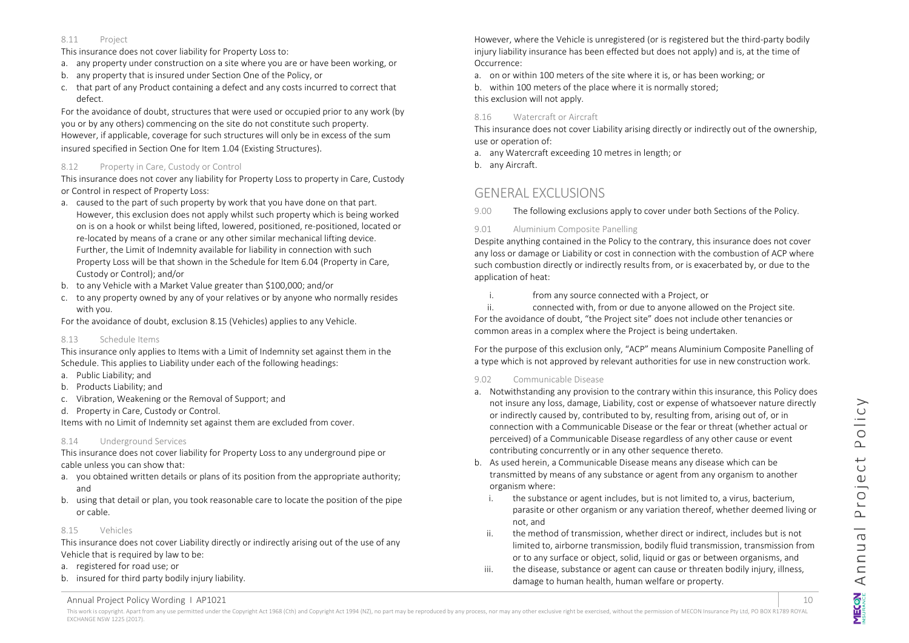#### 8.11 Project

This insurance does not cover liability for Property Loss to:

- a. any property under construction on a site where you are or have been working, or
- b. any property that is insured under Section One of the Policy, or
- c. that part of any Product containing a defect and any costs incurred to correct that defect.

For the avoidance of doubt, structures that were used or occupied prior to any work (by you or by any others) commencing on the site do not constitute such property. However, if applicable, coverage for such structures will only be in excess of the sum insured specified in Section One for Item 1.04 (Existing Structures).

## 8.12 Property in Care, Custody or Control

This insurance does not cover any liability for Property Loss to property in Care, Custody or Control in respect of Property Loss:

- a. caused to the part of such property by work that you have done on that part. However, this exclusion does not apply whilst such property which is being worked on is on a hook or whilst being lifted, lowered, positioned, re-positioned, located or re-located by means of a crane or any other similar mechanical lifting device. Further, the Limit of Indemnity available for liability in connection with such Property Loss will be that shown in the Schedule for Item 6.04 (Property in Care, Custody or Control); and/or
- b. to any Vehicle with a Market Value greater than \$100,000; and/or
- c. to any property owned by any of your relatives or by anyone who normally resides with you.

For the avoidance of doubt, exclusion 8.15 (Vehicles) applies to any Vehicle.

## 8.13 Schedule Items

This insurance only applies to Items with a Limit of Indemnity set against them in the Schedule. This applies to Liability under each of the following headings:

- a. Public Liability; and
- b. Products Liability; and
- c. Vibration, Weakening or the Removal of Support; and
- d. Property in Care, Custody or Control.

Items with no Limit of Indemnity set against them are excluded from cover.

## 8.14 Underground Services

This insurance does not cover liability for Property Loss to any underground pipe or cable unless you can show that:

- a. you obtained written details or plans of its position from the appropriate authority; and
- b. using that detail or plan, you took reasonable care to locate the position of the pipe or cable.

## 8.15 Vehicles

This insurance does not cover Liability directly or indirectly arising out of the use of any Vehicle that is required by law to be:

- a. registered for road use; or
- b. insured for third party bodily injury liability.

However, where the Vehicle is unregistered (or is registered but the third-party bodily injury liability insurance has been effected but does not apply) and is, at the time of Occurrence:

a. on or within 100 meters of the site where it is, or has been working; or

b. within 100 meters of the place where it is normally stored; this exclusion will not apply.

## 8.16 Watercraft or Aircraft

This insurance does not cover Liability arising directly or indirectly out of the ownership, use or operation of:

a. any Watercraft exceeding 10 metres in length; or

b. any Aircraft.

## <span id="page-9-0"></span>GENERAL EXCLUSIONS

9.00 The following exclusions apply to cover under both Sections of the Policy.

## 9.01 Aluminium Composite Panelling

Despite anything contained in the Policy to the contrary, this insurance does not cover any loss or damage or Liability or cost in connection with the combustion of ACP where such combustion directly or indirectly results from, or is exacerbated by, or due to the application of heat:

i. from any source connected with a Project, or

ii. connected with, from or due to anyone allowed on the Project site. For the avoidance of doubt, "the Project site" does not include other tenancies or common areas in a complex where the Project is being undertaken.

For the purpose of this exclusion only, "ACP" means Aluminium Composite Panelling of a type which is not approved by relevant authorities for use in new construction work.

## 9.02 Communicable Disease

- a. Notwithstanding any provision to the contrary within this insurance, this Policy does not insure any loss, damage, Liability, cost or expense of whatsoever nature directly or indirectly caused by, contributed to by, resulting from, arising out of, or in connection with a Communicable Disease or the fear or threat (whether actual or perceived) of a Communicable Disease regardless of any other cause or event contributing concurrently or in any other sequence thereto.
- b. As used herein, a Communicable Disease means any disease which can be transmitted by means of any substance or agent from any organism to another organism where:
	- i. the substance or agent includes, but is not limited to, a virus, bacterium, parasite or other organism or any variation thereof, whether deemed living or not, and
	- ii. the method of transmission, whether direct or indirect, includes but is not limited to, airborne transmission, bodily fluid transmission, transmission from or to any surface or object, solid, liquid or gas or between organisms, and
	- iii. the disease, substance or agent can cause or threaten bodily injury, illness, damage to human health, human welfare or property.

Annual Project Policy Wording I AP1021 10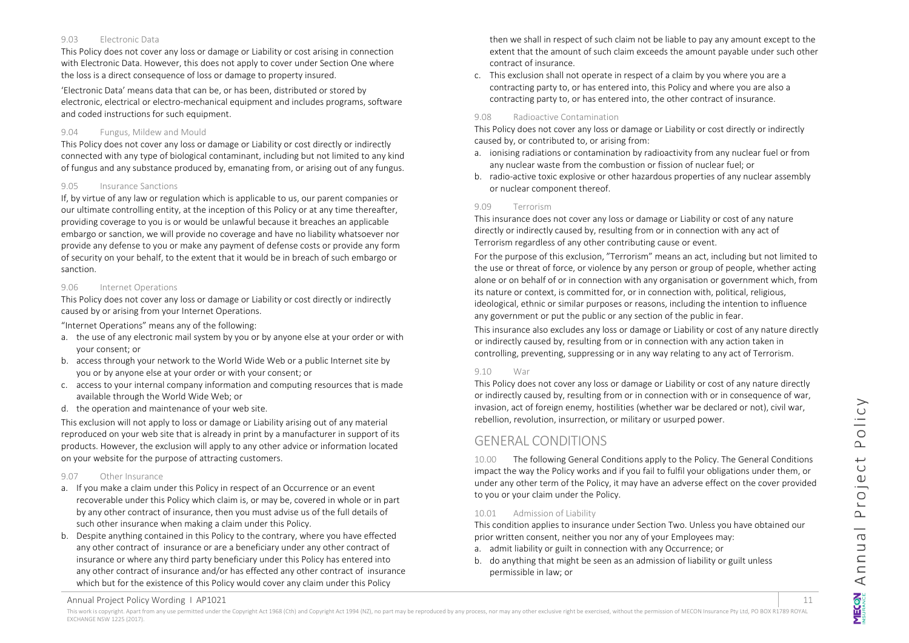#### 9.03 Electronic Data

This Policy does not cover any loss or damage or Liability or cost arising in connection with Electronic Data. However, this does not apply to cover under Section One where the loss is a direct consequence of loss or damage to property insured.

'Electronic Data' means data that can be, or has been, distributed or stored by electronic, electrical or electro-mechanical equipment and includes programs, software and coded instructions for such equipment.

#### 9.04 Fungus, Mildew and Mould

This Policy does not cover any loss or damage or Liability or cost directly or indirectly connected with any type of biological contaminant, including but not limited to any kind of fungus and any substance produced by, emanating from, or arising out of any fungus.

#### 9.05 Insurance Sanctions

If, by virtue of any law or regulation which is applicable to us, our parent companies or our ultimate controlling entity, at the inception of this Policy or at any time thereafter, providing coverage to you is or would be unlawful because it breaches an applicable embargo or sanction, we will provide no coverage and have no liability whatsoever nor provide any defense to you or make any payment of defense costs or provide any form of security on your behalf, to the extent that it would be in breach of such embargo or sanction.

#### 9.06 Internet Operations

This Policy does not cover any loss or damage or Liability or cost directly or indirectly caused by or arising from your Internet Operations.

"Internet Operations" means any of the following:

- a. the use of any electronic mail system by you or by anyone else at your order or with your consent; or
- b. access through your network to the World Wide Web or a public Internet site by you or by anyone else at your order or with your consent; or
- c. access to your internal company information and computing resources that is made available through the World Wide Web; or
- d. the operation and maintenance of your web site.

This exclusion will not apply to loss or damage or Liability arising out of any material reproduced on your web site that is already in print by a manufacturer in support of its products. However, the exclusion will apply to any other advice or information located on your website for the purpose of attracting customers.

#### 9.07 Other Insurance

- a. If you make a claim under this Policy in respect of an Occurrence or an event recoverable under this Policy which claim is, or may be, covered in whole or in part by any other contract of insurance, then you must advise us of the full details of such other insurance when making a claim under this Policy.
- b. Despite anything contained in this Policy to the contrary, where you have effected any other contract of insurance or are a beneficiary under any other contract of insurance or where any third party beneficiary under this Policy has entered into any other contract of insurance and/or has effected any other contract of insurance which but for the existence of this Policy would cover any claim under this Policy

then we shall in respect of such claim not be liable to pay any amount except to the extent that the amount of such claim exceeds the amount payable under such other contract of insurance.

c. This exclusion shall not operate in respect of a claim by you where you are a contracting party to, or has entered into, this Policy and where you are also a contracting party to, or has entered into, the other contract of insurance.

#### 9.08 Radioactive Contamination

This Policy does not cover any loss or damage or Liability or cost directly or indirectly caused by, or contributed to, or arising from:

- a. ionising radiations or contamination by radioactivity from any nuclear fuel or from any nuclear waste from the combustion or fission of nuclear fuel; or
- b. radio-active toxic explosive or other hazardous properties of any nuclear assembly or nuclear component thereof.

#### 9.09 Terrorism

This insurance does not cover any loss or damage or Liability or cost of any nature directly or indirectly caused by, resulting from or in connection with any act of Terrorism regardless of any other contributing cause or event.

For the purpose of this exclusion, "Terrorism" means an act, including but not limited to the use or threat of force, or violence by any person or group of people, whether acting alone or on behalf of or in connection with any organisation or government which, from its nature or context, is committed for, or in connection with, political, religious, ideological, ethnic or similar purposes or reasons, including the intention to influence any government or put the public or any section of the public in fear.

This insurance also excludes any loss or damage or Liability or cost of any nature directly or indirectly caused by, resulting from or in connection with any action taken in controlling, preventing, suppressing or in any way relating to any act of Terrorism.

#### 9.10 War

This Policy does not cover any loss or damage or Liability or cost of any nature directly or indirectly caused by, resulting from or in connection with or in consequence of war, invasion, act of foreign enemy, hostilities (whether war be declared or not), civil war, rebellion, revolution, insurrection, or military or usurped power.

## <span id="page-10-0"></span>GENERAL CONDITIONS

10.00 The following General Conditions apply to the Policy. The General Conditions impact the way the Policy works and if you fail to fulfil your obligations under them, or under any other term of the Policy, it may have an adverse effect on the cover provided to you or your claim under the Policy.

#### 10.01 Admission of Liability

This condition applies to insurance under Section Two. Unless you have obtained our prior written consent, neither you nor any of your Employees may:

- a. admit liability or guilt in connection with any Occurrence; or
- b. do anything that might be seen as an admission of liability or guilt unless permissible in law; or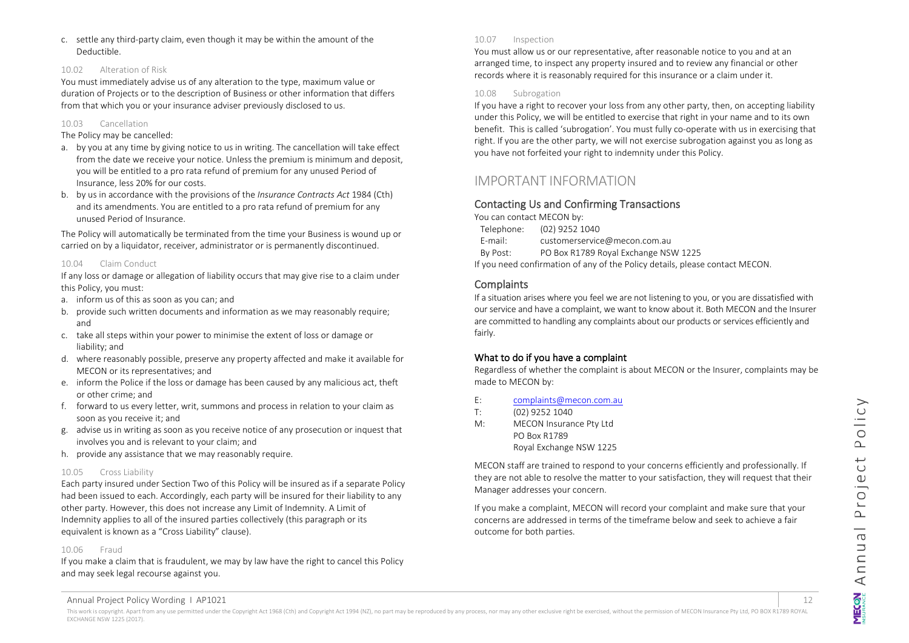c. settle any third-party claim, even though it may be within the amount of the Deductible.

#### 10.02 Alteration of Risk

You must immediately advise us of any alteration to the type, maximum value or duration of Projects or to the description of Business or other information that differs from that which you or your insurance adviser previously disclosed to us.

#### 10.03 Cancellation

The Policy may be cancelled:

- a. by you at any time by giving notice to us in writing. The cancellation will take effect from the date we receive your notice. Unless the premium is minimum and deposit, you will be entitled to a pro rata refund of premium for any unused Period of Insurance, less 20% for our costs.
- b. by us in accordance with the provisions of the *Insurance Contracts Act* 1984 (Cth) and its amendments. You are entitled to a pro rata refund of premium for any unused Period of Insurance.

The Policy will automatically be terminated from the time your Business is wound up or carried on by a liquidator, receiver, administrator or is permanently discontinued.

#### 10.04 Claim Conduct

If any loss or damage or allegation of liability occurs that may give rise to a claim under this Policy, you must:

- a. inform us of this as soon as you can; and
- b. provide such written documents and information as we may reasonably require; and
- c. take all steps within your power to minimise the extent of loss or damage or liability; and
- d. where reasonably possible, preserve any property affected and make it available for MECON or its representatives; and
- e. inform the Police if the loss or damage has been caused by any malicious act, theft or other crime; and
- f. forward to us every letter, writ, summons and process in relation to your claim as soon as you receive it; and
- g. advise us in writing as soon as you receive notice of any prosecution or inquest that involves you and is relevant to your claim; and
- h. provide any assistance that we may reasonably require.

#### 10.05 Cross Liability

Each party insured under Section Two of this Policy will be insured as if a separate Policy had been issued to each. Accordingly, each party will be insured for their liability to any other party. However, this does not increase any Limit of Indemnity. A Limit of Indemnity applies to all of the insured parties collectively (this paragraph or its equivalent is known as a "Cross Liability" clause).

#### 10.06 Fraud

If you make a claim that is fraudulent, we may by law have the right to cancel this Policy and may seek legal recourse against you.

#### 10.07 Inspection

You must allow us or our representative, after reasonable notice to you and at an arranged time, to inspect any property insured and to review any financial or other records where it is reasonably required for this insurance or a claim under it.

#### 10.08 Subrogation

If you have a right to recover your loss from any other party, then, on accepting liability under this Policy, we will be entitled to exercise that right in your name and to its own benefit. This is called 'subrogation'. You must fully co-operate with us in exercising that right. If you are the other party, we will not exercise subrogation against you as long as you have not forfeited your right to indemnity under this Policy.

## <span id="page-11-0"></span>IMPORTANT INFORMATION

#### <span id="page-11-1"></span>Contacting Us and Confirming Transactions

You can contact MECON by: Telephone: (02) 9252 1040

E-mail: customerservice@mecon.com.au By Post: PO Box R1789 Royal Exchange NSW 1225 If you need confirmation of any of the Policy details, please contact MECON.

#### <span id="page-11-2"></span>**Complaints**

If a situation arises where you feel we are not listening to you, or you are dissatisfied with our service and have a complaint, we want to know about it. Both MECON and the Insurer are committed to handling any complaints about our products or services efficiently and fairly.

#### What to do if you have a complaint

Regardless of whether the complaint is about MECON or the Insurer, complaints may be made to MECON by:

| E: | complaints@mecon.com.au |
|----|-------------------------|
|    |                         |

T: (02) 9252 1040

M: MECON Insurance Pty Ltd PO Box R1789 Royal Exchange NSW 1225

MECON staff are trained to respond to your concerns efficiently and professionally. If they are not able to resolve the matter to your satisfaction, they will request that their Manager addresses your concern.

If you make a complaint, MECON will record your complaint and make sure that your concerns are addressed in terms of the timeframe below and seek to achieve a fair outcome for both parties.

#### Annual Project Policy Wording I AP1021 12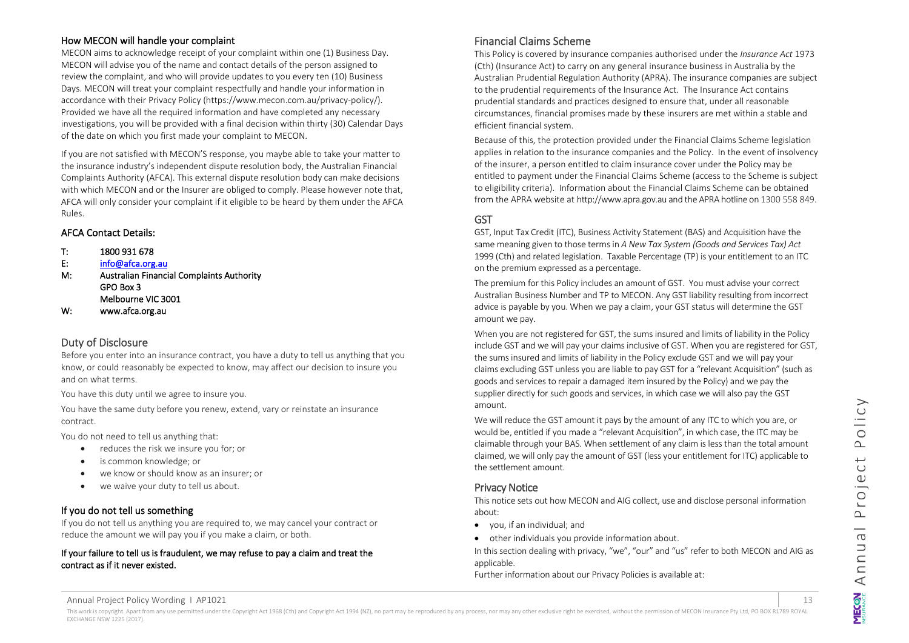#### How MECON will handle your complaint

MECON aims to acknowledge receipt of your complaint within one (1) Business Day. MECON will advise you of the name and contact details of the person assigned to review the complaint, and who will provide updates to you every ten (10) Business Days. MECON will treat your complaint respectfully and handle your information in accordance with their Privacy Policy (https://www.mecon.com.au/privacy-policy/). Provided we have all the required information and have completed any necessary investigations, you will be provided with a final decision within thirty (30) Calendar Days of the date on which you first made your complaint to MECON.

If you are not satisfied with MECON'S response, you maybe able to take your matter to the insurance industry's independent dispute resolution body, the Australian Financial Complaints Authority (AFCA). This external dispute resolution body can make decisions with which MECON and or the Insurer are obliged to comply. Please however note that, AFCA will only consider your complaint if it eligible to be heard by them under the AFCA Rules.

#### AFCA Contact Details:

- T: 1800 931 678
- E: [info@afca.org.au](mailto:info@afca.org.au)
- M: Australian Financial Complaints Authority GPO Box 3 Melbourne VIC 3001
- W: www.afca.org.au

#### <span id="page-12-0"></span>Duty of Disclosure

Before you enter into an insurance contract, you have a duty to tell us anything that you know, or could reasonably be expected to know, may affect our decision to insure you and on what terms.

You have this duty until we agree to insure you.

You have the same duty before you renew, extend, vary or reinstate an insurance contract.

You do not need to tell us anything that:

- reduces the risk we insure you for; or
- is common knowledge; or
- we know or should know as an insurer; or
- we waive your duty to tell us about.

## If you do not tell us something

If you do not tell us anything you are required to, we may cancel your contract or reduce the amount we will pay you if you make a claim, or both.

#### If your failure to tell us is fraudulent, we may refuse to pay a claim and treat the contract as if it never existed.

## <span id="page-12-1"></span>Financial Claims Scheme

This Policy is covered by insurance companies authorised under the *Insurance Act* 1973 (Cth) (Insurance Act) to carry on any general insurance business in Australia by the Australian Prudential Regulation Authority (APRA). The insurance companies are subject to the prudential requirements of the Insurance Act. The Insurance Act contains prudential standards and practices designed to ensure that, under all reasonable circumstances, financial promises made by these insurers are met within a stable and efficient financial system.

Because of this, the protection provided under the Financial Claims Scheme legislation applies in relation to the insurance companies and the Policy. In the event of insolvency of the insurer, a person entitled to claim insurance cover under the Policy may be entitled to payment under the Financial Claims Scheme (access to the Scheme is subject to eligibility criteria). Information about the Financial Claims Scheme can be obtained from the APRA website at http://www.apra.gov.au and the APRA hotline on 1300 558 849.

## <span id="page-12-2"></span>GST

GST, Input Tax Credit (ITC), Business Activity Statement (BAS) and Acquisition have the same meaning given to those terms in *A New Tax System (Goods and Services Tax) Act* 1999 (Cth) and related legislation. Taxable Percentage (TP) is your entitlement to an ITC on the premium expressed as a percentage.

The premium for this Policy includes an amount of GST. You must advise your correct Australian Business Number and TP to MECON. Any GST liability resulting from incorrect advice is payable by you. When we pay a claim, your GST status will determine the GST amount we pay.

When you are not registered for GST, the sums insured and limits of liability in the Policy include GST and we will pay your claims inclusive of GST. When you are registered for GST, the sums insured and limits of liability in the Policy exclude GST and we will pay your claims excluding GST unless you are liable to pay GST for a "relevant Acquisition" (such as goods and services to repair a damaged item insured by the Policy) and we pay the supplier directly for such goods and services, in which case we will also pay the GST amount.

We will reduce the GST amount it pays by the amount of any ITC to which you are, or would be, entitled if you made a "relevant Acquisition", in which case, the ITC may be claimable through your BAS. When settlement of any claim is less than the total amount claimed, we will only pay the amount of GST (less your entitlement for ITC) applicable to the settlement amount.

## <span id="page-12-3"></span>Privacy Notice

This notice sets out how MECON and AIG collect, use and disclose personal information about:

- you, if an individual; and
- other individuals you provide information about.

In this section dealing with privacy, "we", "our" and "us" refer to both MECON and AIG as applicable.

Further information about our Privacy Policies is available at:

Annual Project Policy Wording I AP1021 13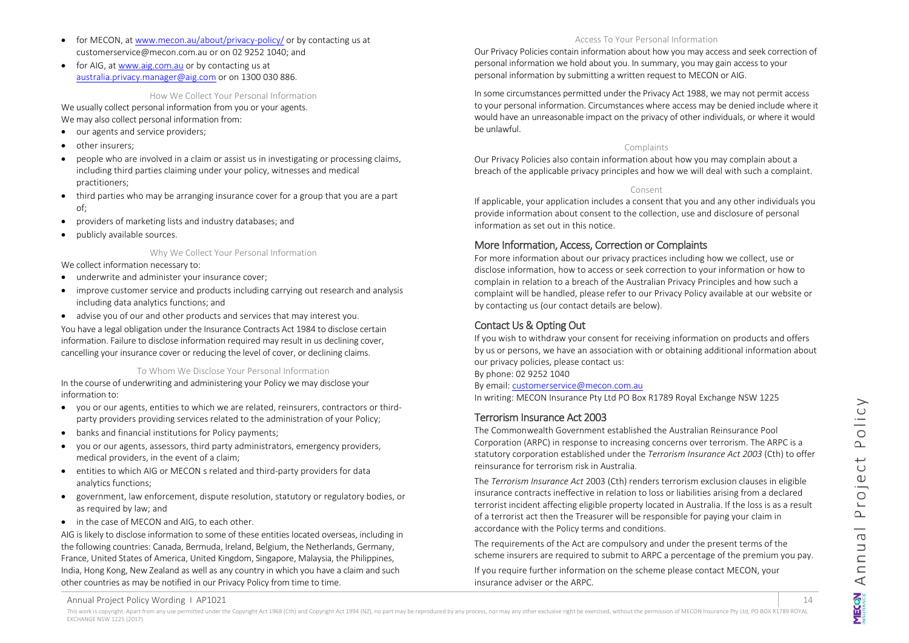- for MECON, a[t www.mecon.au/about/privacy-policy/](http://www.mecon.au/about/privacy-policy/) or by contacting us at [customerservice@mecon.com.au](mailto:customerservice@mecon.com.au) or on 02 9252 1040; and
- for AIG, at [www.aig.com.au](http://www.aig.com.au/) or by contacting us at [australia.privacy.manager@aig.com](mailto:australia.privacy.manager@aig.com) or on 1300 030 886.

How We Collect Your Personal Information

We usually collect personal information from you or your agents. We may also collect personal information from:

- our agents and service providers;
- other insurers;
- people who are involved in a claim or assist us in investigating or processing claims, including third parties claiming under your policy, witnesses and medical practitioners;
- third parties who may be arranging insurance cover for a group that you are a part of;
- providers of marketing lists and industry databases; and
- publicly available sources.

#### Why We Collect Your Personal Information

We collect information necessary to:

- underwrite and administer your insurance cover;
- improve customer service and products including carrying out research and analysis including data analytics functions; and
- advise you of our and other products and services that may interest you. You have a legal obligation under the Insurance Contracts Act 1984 to disclose certain

information. Failure to disclose information required may result in us declining cover, cancelling your insurance cover or reducing the level of cover, or declining claims.

#### To Whom We Disclose Your Personal Information

In the course of underwriting and administering your Policy we may disclose your information to:

- you or our agents, entities to which we are related, reinsurers, contractors or thirdparty providers providing services related to the administration of your Policy;
- banks and financial institutions for Policy payments;
- you or our agents, assessors, third party administrators, emergency providers, medical providers, in the event of a claim;
- entities to which AIG or MECON s related and third-party providers for data analytics functions;
- government, law enforcement, dispute resolution, statutory or regulatory bodies, or as required by law; and
- in the case of MECON and AIG, to each other.

AIG is likely to disclose information to some of these entities located overseas, including in the following countries: Canada, Bermuda, Ireland, Belgium, the Netherlands, Germany, France, United States of America, United Kingdom, Singapore, Malaysia, the Philippines, India, Hong Kong, New Zealand as well as any country in which you have a claim and such other countries as may be notified in our Privacy Policy from time to time.

#### Access To Your Personal Information

Our Privacy Policies contain information about how you may access and seek correction of personal information we hold about you. In summary, you may gain access to your personal information by submitting a written request to MECON or AIG.

In some circumstances permitted under the Privacy Act 1988, we may not permit access to your personal information. Circumstances where access may be denied include where it would have an unreasonable impact on the privacy of other individuals, or where it would be unlawful.

#### Complaints

Our Privacy Policies also contain information about how you may complain about a breach of the applicable privacy principles and how we will deal with such a complaint.

#### Consent

If applicable, your application includes a consent that you and any other individuals you provide information about consent to the collection, use and disclosure of personal information as set out in this notice.

#### <span id="page-13-0"></span>More Information, Access, Correction or Complaints

For more information about our privacy practices including how we collect, use or disclose information, how to access or seek correction to your information or how to complain in relation to a breach of the Australian Privacy Principles and how such a complaint will be handled, please refer to our Privacy Policy available at our website or by contacting us (our contact details are below).

## <span id="page-13-1"></span>Contact Us & Opting Out

If you wish to withdraw your consent for receiving information on products and offers by us or persons, we have an association with or obtaining additional information about our privacy policies, please contact us:

By phone: 02 9252 1040

By email[: customerservice@mecon.com.au](mailto:customerservice@mecon.com.au)

In writing: MECON Insurance Pty Ltd PO Box R1789 Royal Exchange NSW 1225

#### <span id="page-13-2"></span>Terrorism Insurance Act 2003

The Commonwealth Government established the Australian Reinsurance Pool Corporation (ARPC) in response to increasing concerns over terrorism. The ARPC is a statutory corporation established under the *Terrorism Insurance Act 2003* (Cth) to offer reinsurance for terrorism risk in Australia.

The *Terrorism Insurance Act* 2003 (Cth) renders terrorism exclusion clauses in eligible insurance contracts ineffective in relation to loss or liabilities arising from a declared terrorist incident affecting eligible property located in Australia. If the loss is as a result of a terrorist act then the Treasurer will be responsible for paying your claim in accordance with the Policy terms and conditions.

The requirements of the Act are compulsory and under the present terms of the scheme insurers are required to submit to ARPC a percentage of the premium you pay.

If you require further information on the scheme please contact MECON, your insurance adviser or the ARPC.

Annual Project Policy Wording I AP1021 14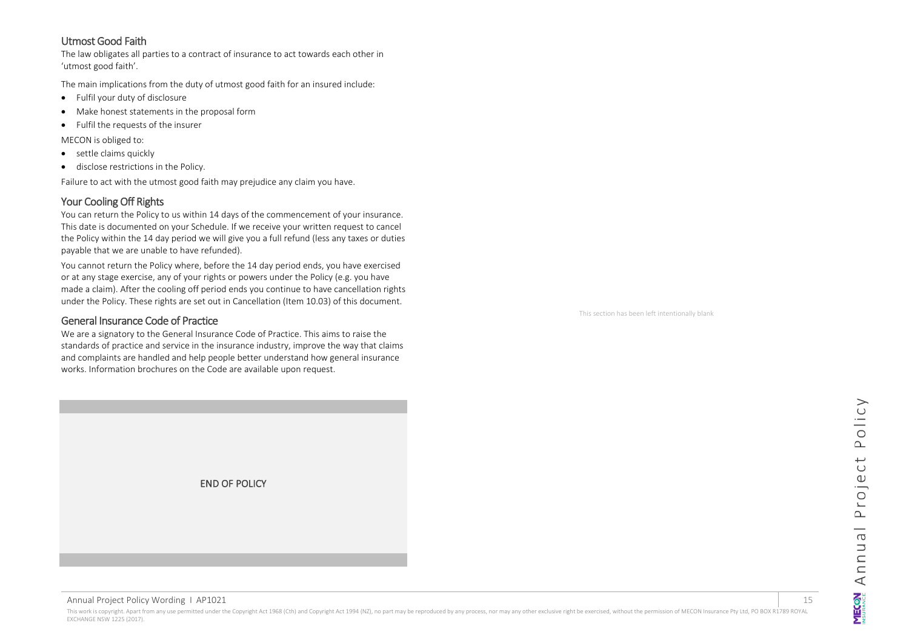## <span id="page-14-0"></span>Utmost Good Faith

The law obligates all parties to a contract of insurance to act towards each other in 'utmost good faith'.

The main implications from the duty of utmost good faith for an insured include:

- Fulfil your duty of disclosure
- Make honest statements in the proposal form
- Fulfil the requests of the insurer

MECON is obliged to:

- settle claims quickly
- disclose restrictions in the Policy.

Failure to act with the utmost good faith may prejudice any claim you have.

## <span id="page-14-1"></span>Your Cooling Off Rights

You can return the Policy to us within 14 days of the commencement of your insurance. This date is documented on your Schedule. If we receive your written request to cancel the Policy within the 14 day period we will give you a full refund (less any taxes or duties payable that we are unable to have refunded).

You cannot return the Policy where, before the 14 day period ends, you have exercised or at any stage exercise, any of your rights or powers under the Policy (e.g. you have made a claim). After the cooling off period ends you continue to have cancellation rights under the Policy. These rights are set out in Cancellation (Item 10.03) of this document.

## <span id="page-14-2"></span>General Insurance Code of Practice

We are a signatory to the General Insurance Code of Practice. This aims to raise the standards of practice and service in the insurance industry, improve the way that claims and complaints are handled and help people better understand how general insurance works. Information brochures on the Code are available upon request.



Annual Project Policy Wording I AP1021 15

This work is copyright. Apart from any use permitted under the Copyright Act 1968 (Cth) and Copyright Act 1994 (NZ), no part may be reproduced by any process, nor may any other exclusive right be exercised, without the per EXCHANGE NSW 1225 (2017).

This section has been left intentionally blank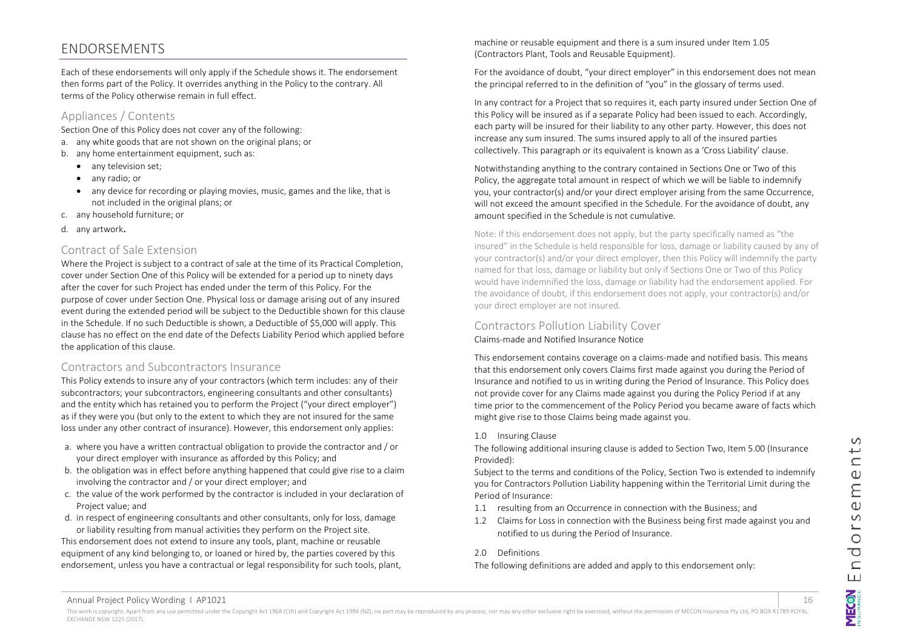## <span id="page-15-0"></span>ENDORSEMENTS

Each of these endorsements will only apply if the Schedule shows it. The endorsement then forms part of the Policy. It overrides anything in the Policy to the contrary. All terms of the Policy otherwise remain in full effect.

## Appliances / Contents

Section One of this Policy does not cover any of the following:

- a. any white goods that are not shown on the original plans; or
- b. any home entertainment equipment, such as:
	- any television set;
	- any radio; or
	- any device for recording or playing movies, music, games and the like, that is not included in the original plans; or
- c. any household furniture; or
- d. any artwork.

## Contract of Sale Extension

Where the Project is subject to a contract of sale at the time of its Practical Completion, cover under Section One of this Policy will be extended for a period up to ninety days after the cover for such Project has ended under the term of this Policy. For the purpose of cover under Section One. Physical loss or damage arising out of any insured event during the extended period will be subject to the Deductible shown for this clause in the Schedule. If no such Deductible is shown, a Deductible of \$5,000 will apply. This clause has no effect on the end date of the Defects Liability Period which applied before the application of this clause.

## Contractors and Subcontractors Insurance

This Policy extends to insure any of your contractors (which term includes: any of their subcontractors; your subcontractors, engineering consultants and other consultants) and the entity which has retained you to perform the Project ("your direct employer") as if they were you (but only to the extent to which they are not insured for the same loss under any other contract of insurance). However, this endorsement only applies:

- a. where you have a written contractual obligation to provide the contractor and / or your direct employer with insurance as afforded by this Policy; and
- b. the obligation was in effect before anything happened that could give rise to a claim involving the contractor and / or your direct employer; and
- c. the value of the work performed by the contractor is included in your declaration of Project value; and
- d. in respect of engineering consultants and other consultants, only for loss, damage or liability resulting from manual activities they perform on the Project site.

This endorsement does not extend to insure any tools, plant, machine or reusable equipment of any kind belonging to, or loaned or hired by, the parties covered by this endorsement, unless you have a contractual or legal responsibility for such tools, plant, machine or reusable equipment and there is a sum insured under Item 1.05 (Contractors Plant, Tools and Reusable Equipment).

For the avoidance of doubt, "your direct employer" in this endorsement does not mean the principal referred to in the definition of "you" in the glossary of terms used.

In any contract for a Project that so requires it, each party insured under Section One of this Policy will be insured as if a separate Policy had been issued to each. Accordingly, each party will be insured for their liability to any other party. However, this does not increase any sum insured. The sums insured apply to all of the insured parties collectively. This paragraph or its equivalent is known as a 'Cross Liability' clause.

Notwithstanding anything to the contrary contained in Sections One or Two of this Policy, the aggregate total amount in respect of which we will be liable to indemnify you, your contractor(s) and/or your direct employer arising from the same Occurrence, will not exceed the amount specified in the Schedule. For the avoidance of doubt, any amount specified in the Schedule is not cumulative.

Note: If this endorsement does not apply, but the party specifically named as "the insured" in the Schedule is held responsible for loss, damage or liability caused by any of your contractor(s) and/or your direct employer, then this Policy will indemnify the party named for that loss, damage or liability but only if Sections One or Two of this Policy would have indemnified the loss, damage or liability had the endorsement applied. For the avoidance of doubt, if this endorsement does not apply, your contractor(s) and/or your direct employer are not insured.

## Contractors Pollution Liability Cover

Claims-made and Notified Insurance Notice

This endorsement contains coverage on a claims-made and notified basis. This means that this endorsement only covers Claims first made against you during the Period of Insurance and notified to us in writing during the Period of Insurance. This Policy does not provide cover for any Claims made against you during the Policy Period if at any time prior to the commencement of the Policy Period you became aware of facts which might give rise to those Claims being made against you.

1.0 Insuring Clause

The following additional insuring clause is added to Section Two, Item 5.00 (Insurance Provided):

Subject to the terms and conditions of the Policy, Section Two is extended to indemnify you for Contractors Pollution Liability happening within the Territorial Limit during the Period of Insurance:

- 1.1 resulting from an Occurrence in connection with the Business; and
- 1.2 Claims for Loss in connection with the Business being first made against you and notified to us during the Period of Insurance.

#### 2.0 Definitions

The following definitions are added and apply to this endorsement only: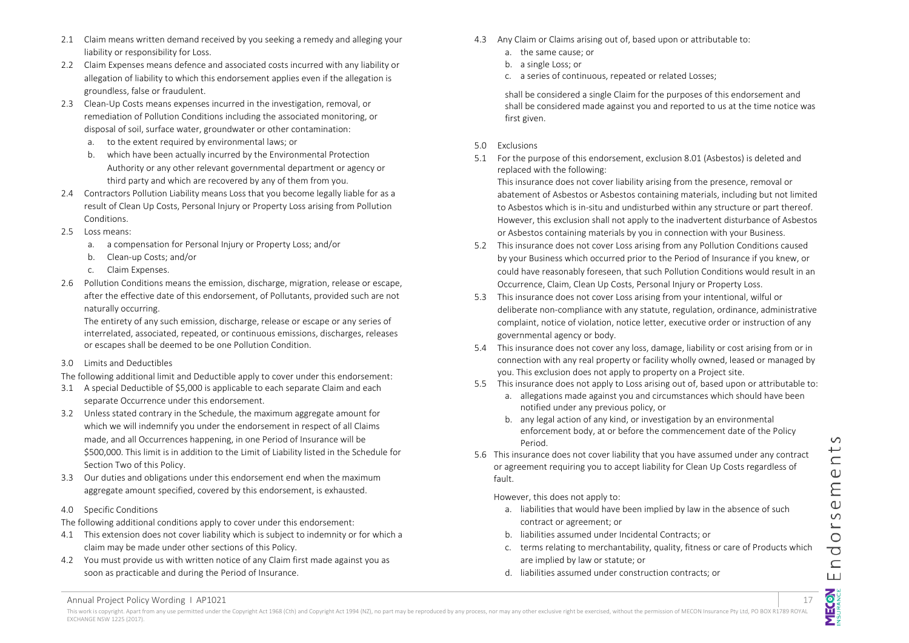- 2.1 Claim means written demand received by you seeking a remedy and alleging your liability or responsibility for Loss.
- 2.2 Claim Expenses means defence and associated costs incurred with any liability or allegation of liability to which this endorsement applies even if the allegation is groundless, false or fraudulent.
- 2.3 Clean-Up Costs means expenses incurred in the investigation, removal, or remediation of Pollution Conditions including the associated monitoring, or disposal of soil, surface water, groundwater or other contamination:
	- a. to the extent required by environmental laws; or
	- b. which have been actually incurred by the Environmental Protection Authority or any other relevant governmental department or agency or third party and which are recovered by any of them from you.
- 2.4 Contractors Pollution Liability means Loss that you become legally liable for as a result of Clean Up Costs, Personal Injury or Property Loss arising from Pollution Conditions.
- 2.5 Loss means:
	- a. a compensation for Personal Injury or Property Loss; and/or
	- b. Clean-up Costs; and/or
	- c. Claim Expenses.
- 2.6 Pollution Conditions means the emission, discharge, migration, release or escape, after the effective date of this endorsement, of Pollutants, provided such are not naturally occurring.

The entirety of any such emission, discharge, release or escape or any series of interrelated, associated, repeated, or continuous emissions, discharges, releases or escapes shall be deemed to be one Pollution Condition.

3.0 Limits and Deductibles

The following additional limit and Deductible apply to cover under this endorsement:

- 3.1 A special Deductible of \$5,000 is applicable to each separate Claim and each separate Occurrence under this endorsement.
- 3.2 Unless stated contrary in the Schedule, the maximum aggregate amount for which we will indemnify you under the endorsement in respect of all Claims made, and all Occurrences happening, in one Period of Insurance will be \$500,000. This limit is in addition to the Limit of Liability listed in the Schedule for Section Two of this Policy.
- 3.3 Our duties and obligations under this endorsement end when the maximum aggregate amount specified, covered by this endorsement, is exhausted.

#### 4.0 Specific Conditions

The following additional conditions apply to cover under this endorsement:

- 4.1 This extension does not cover liability which is subject to indemnity or for which a claim may be made under other sections of this Policy.
- 4.2 You must provide us with written notice of any Claim first made against you as soon as practicable and during the Period of Insurance.
- 4.3 Any Claim or Claims arising out of, based upon or attributable to:
	- a. the same cause; or
	- b. a single Loss; or
	- c. a series of continuous, repeated or related Losses;

shall be considered a single Claim for the purposes of this endorsement and shall be considered made against you and reported to us at the time notice was first given.

- 5.0 Exclusions
- 5.1 For the purpose of this endorsement, exclusion 8.01 (Asbestos) is deleted and replaced with the following:

This insurance does not cover liability arising from the presence, removal or abatement of Asbestos or Asbestos containing materials, including but not limited to Asbestos which is in-situ and undisturbed within any structure or part thereof. However, this exclusion shall not apply to the inadvertent disturbance of Asbestos or Asbestos containing materials by you in connection with your Business.

- 5.2 This insurance does not cover Loss arising from any Pollution Conditions caused by your Business which occurred prior to the Period of Insurance if you knew, or could have reasonably foreseen, that such Pollution Conditions would result in an Occurrence, Claim, Clean Up Costs, Personal Injury or Property Loss.
- 5.3 This insurance does not cover Loss arising from your intentional, wilful or deliberate non-compliance with any statute, regulation, ordinance, administrative complaint, notice of violation, notice letter, executive order or instruction of any governmental agency or body.
- 5.4 This insurance does not cover any loss, damage, liability or cost arising from or in connection with any real property or facility wholly owned, leased or managed by you. This exclusion does not apply to property on a Project site.
- 5.5 This insurance does not apply to Loss arising out of, based upon or attributable to:
	- a. allegations made against you and circumstances which should have been notified under any previous policy, or
	- b. any legal action of any kind, or investigation by an environmental enforcement body, at or before the commencement date of the Policy Period.
- 5.6 This insurance does not cover liability that you have assumed under any contract or agreement requiring you to accept liability for Clean Up Costs regardless of fault.

However, this does not apply to:

- a. liabilities that would have been implied by law in the absence of such contract or agreement; or
- b. liabilities assumed under Incidental Contracts; or
- c. terms relating to merchantability, quality, fitness or care of Products which are implied by law or statute; or
- d. liabilities assumed under construction contracts; or

Annual Project Policy Wording 1 AP1021 17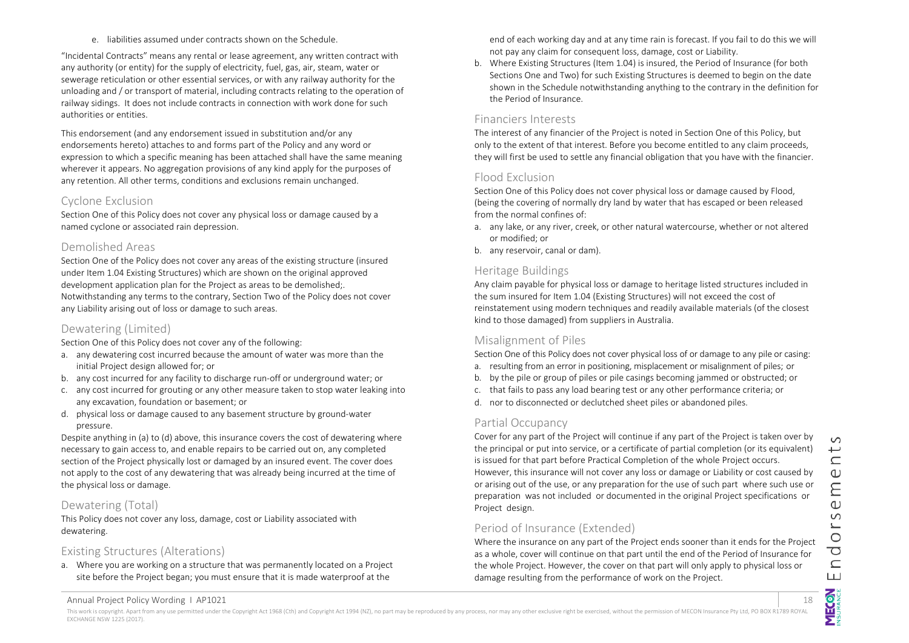"Incidental Contracts" means any rental or lease agreement, any written contract with any authority (or entity) for the supply of electricity, fuel, gas, air, steam, water or sewerage reticulation or other essential services, or with any railway authority for the unloading and / or transport of material, including contracts relating to the operation of railway sidings. It does not include contracts in connection with work done for such authorities or entities.

This endorsement (and any endorsement issued in substitution and/or any endorsements hereto) attaches to and forms part of the Policy and any word or expression to which a specific meaning has been attached shall have the same meaning wherever it appears. No aggregation provisions of any kind apply for the purposes of any retention. All other terms, conditions and exclusions remain unchanged.

## Cyclone Exclusion

Section One of this Policy does not cover any physical loss or damage caused by a named cyclone or associated rain depression.

## Demolished Areas

Section One of the Policy does not cover any areas of the existing structure (insured under Item 1.04 Existing Structures) which are shown on the original approved development application plan for the Project as areas to be demolished;. Notwithstanding any terms to the contrary, Section Two of the Policy does not cover any Liability arising out of loss or damage to such areas.

## Dewatering (Limited)

Section One of this Policy does not cover any of the following:

- a. any dewatering cost incurred because the amount of water was more than the initial Project design allowed for; or
- b. any cost incurred for any facility to discharge run-off or underground water; or
- c. any cost incurred for grouting or any other measure taken to stop water leaking into any excavation, foundation or basement; or
- d. physical loss or damage caused to any basement structure by ground-water pressure.

Despite anything in (a) to (d) above, this insurance covers the cost of dewatering where necessary to gain access to, and enable repairs to be carried out on, any completed section of the Project physically lost or damaged by an insured event. The cover does not apply to the cost of any dewatering that was already being incurred at the time of the physical loss or damage.

## Dewatering (Total)

This Policy does not cover any loss, damage, cost or Liability associated with dewatering.

## Existing Structures (Alterations)

a. Where you are working on a structure that was permanently located on a Project site before the Project began; you must ensure that it is made waterproof at the

end of each working day and at any time rain is forecast. If you fail to do this we will not pay any claim for consequent loss, damage, cost or Liability.

b. Where Existing Structures (Item 1.04) is insured, the Period of Insurance (for both Sections One and Two) for such Existing Structures is deemed to begin on the date shown in the Schedule notwithstanding anything to the contrary in the definition for the Period of Insurance.

## Financiers Interests

The interest of any financier of the Project is noted in Section One of this Policy, but only to the extent of that interest. Before you become entitled to any claim proceeds, they will first be used to settle any financial obligation that you have with the financier.

## Flood Exclusion

Section One of this Policy does not cover physical loss or damage caused by Flood, (being the covering of normally dry land by water that has escaped or been released from the normal confines of:

- a. any lake, or any river, creek, or other natural watercourse, whether or not altered or modified; or
- b. any reservoir, canal or dam).

## Heritage Buildings

Any claim payable for physical loss or damage to heritage listed structures included in the sum insured for Item 1.04 (Existing Structures) will not exceed the cost of reinstatement using modern techniques and readily available materials (of the closest kind to those damaged) from suppliers in Australia.

## Misalignment of Piles

Section One of this Policy does not cover physical loss of or damage to any pile or casing:

- a. resulting from an error in positioning, misplacement or misalignment of piles; or
- b. by the pile or group of piles or pile casings becoming jammed or obstructed; or
- c. that fails to pass any load bearing test or any other performance criteria; or
- d. nor to disconnected or declutched sheet piles or abandoned piles.

## Partial Occupancy

Cover for any part of the Project will continue if any part of the Project is taken over by the principal or put into service, or a certificate of partial completion (or its equivalent) is issued for that part before Practical Completion of the whole Project occurs. However, this insurance will not cover any loss or damage or Liability or cost caused by or arising out of the use, or any preparation for the use of such part where such use or preparation was not included or documented in the original Project specifications or Project design.

## Period of Insurance (Extended)

Where the insurance on any part of the Project ends sooner than it ends for the Project as a whole, cover will continue on that part until the end of the Period of Insurance for the whole Project. However, the cover on that part will only apply to physical loss or damage resulting from the performance of work on the Project.

Annual Project Policy Wording | AP1021 18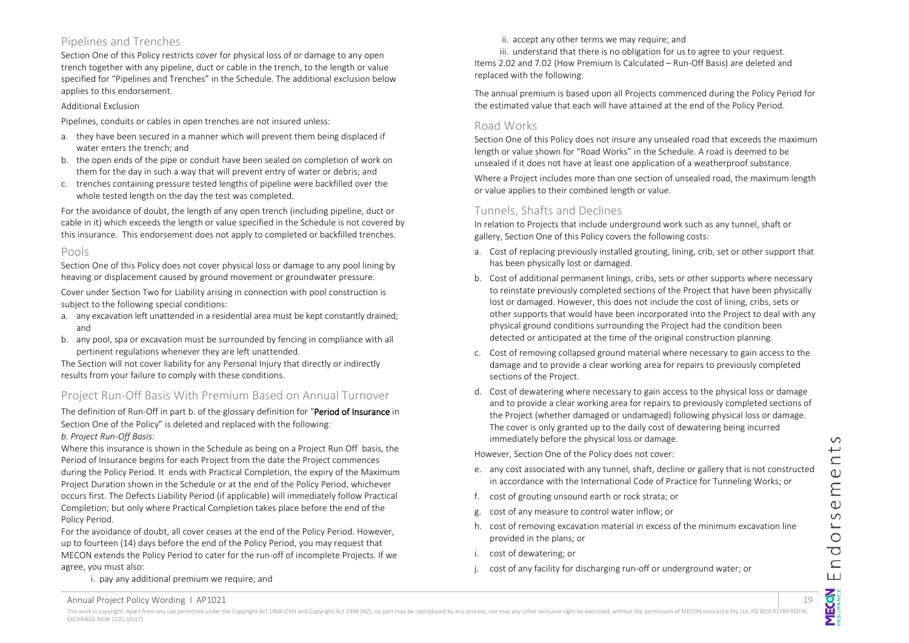## Pipelines and Trenches

Section One of this Policy restricts cover for physical loss of or damage to any open trench together with any pipeline, duct or cable in the trench, to the length or value specified for "Pipelines and Trenches" in the Schedule. The additional exclusion below applies to this endorsement.

#### Additional Exclusion

Pipelines, conduits or cables in open trenches are not insured unless:

- a. they have been secured in a manner which will prevent them being displaced if water enters the trench; and
- b. the open ends of the pipe or conduit have been sealed on completion of work on them for the day in such a way that will prevent entry of water or debris; and
- c. trenches containing pressure tested lengths of pipeline were backfilled over the whole tested length on the day the test was completed.

For the avoidance of doubt, the length of any open trench (including pipeline, duct or cable in it) which exceeds the length or value specified in the Schedule is not covered by this insurance. This endorsement does not apply to completed or backfilled trenches.

## Pools

Section One of this Policy does not cover physical loss or damage to any pool lining by heaving or displacement caused by ground movement or groundwater pressure.

Cover under Section Two for Liability arising in connection with pool construction is subject to the following special conditions:

- a. any excavation left unattended in a residential area must be kept constantly drained; and
- b. any pool, spa or excavation must be surrounded by fencing in compliance with all pertinent regulations whenever they are left unattended.

The Section will not cover liability for any Personal Injury that directly or indirectly results from your failure to comply with these conditions.

## Project Run-Off Basis With Premium Based on Annual Turnover

The definition of Run-Off in part b. of the glossary definition for "Period of Insurance in Section One of the Policy" is deleted and replaced with the following: *b. Project Run-Off Basis:* 

Where this insurance is shown in the Schedule as being on a Project Run Off basis, the Period of Insurance begins for each Project from the date the Project commences during the Policy Period. It ends with Practical Completion, the expiry of the Maximum Project Duration shown in the Schedule or at the end of the Policy Period, whichever occurs first. The Defects Liability Period (if applicable) will immediately follow Practical Completion; but only where Practical Completion takes place before the end of the Policy Period.

For the avoidance of doubt, all cover ceases at the end of the Policy Period. However, up to fourteen (14) days before the end of the Policy Period, you may request that MECON extends the Policy Period to cater for the run-off of incomplete Projects. If we agree, you must also:

#### i. pay any additional premium we require; and

ii. accept any other terms we may require; and

iii. understand that there is no obligation for us to agree to your request. Items 2.02 and 7.02 (How Premium Is Calculated – Run-Off Basis) are deleted and replaced with the following:

The annual premium is based upon all Projects commenced during the Policy Period for the estimated value that each will have attained at the end of the Policy Period.

#### Road Works

Section One of this Policy does not insure any unsealed road that exceeds the maximum length or value shown for "Road Works" in the Schedule. A road is deemed to be unsealed if it does not have at least one application of a weatherproof substance.

Where a Project includes more than one section of unsealed road, the maximum length or value applies to their combined length or value.

## Tunnels, Shafts and Declines

In relation to Projects that include underground work such as any tunnel, shaft or gallery, Section One of this Policy covers the following costs:

- a. Cost of replacing previously installed grouting, lining, crib, set or other support that has been physically lost or damaged.
- b. Cost of additional permanent linings, cribs, sets or other supports where necessary to reinstate previously completed sections of the Project that have been physically lost or damaged. However, this does not include the cost of lining, cribs, sets or other supports that would have been incorporated into the Project to deal with any physical ground conditions surrounding the Project had the condition been detected or anticipated at the time of the original construction planning.
- c. Cost of removing collapsed ground material where necessary to gain access to the damage and to provide a clear working area for repairs to previously completed sections of the Project.
- d. Cost of dewatering where necessary to gain access to the physical loss or damage and to provide a clear working area for repairs to previously completed sections of the Project (whether damaged or undamaged) following physical loss or damage. The cover is only granted up to the daily cost of dewatering being incurred immediately before the physical loss or damage.

#### However, Section One of the Policy does not cover:

- e. any cost associated with any tunnel, shaft, decline or gallery that is not constructed in accordance with the International Code of Practice for Tunneling Works; or
- f. cost of grouting unsound earth or rock strata; or
- g. cost of any measure to control water inflow; or
- h. cost of removing excavation material in excess of the minimum excavation line provided in the plans; or
- i. cost of dewatering; or
- j. cost of any facility for discharging run-off or underground water; or